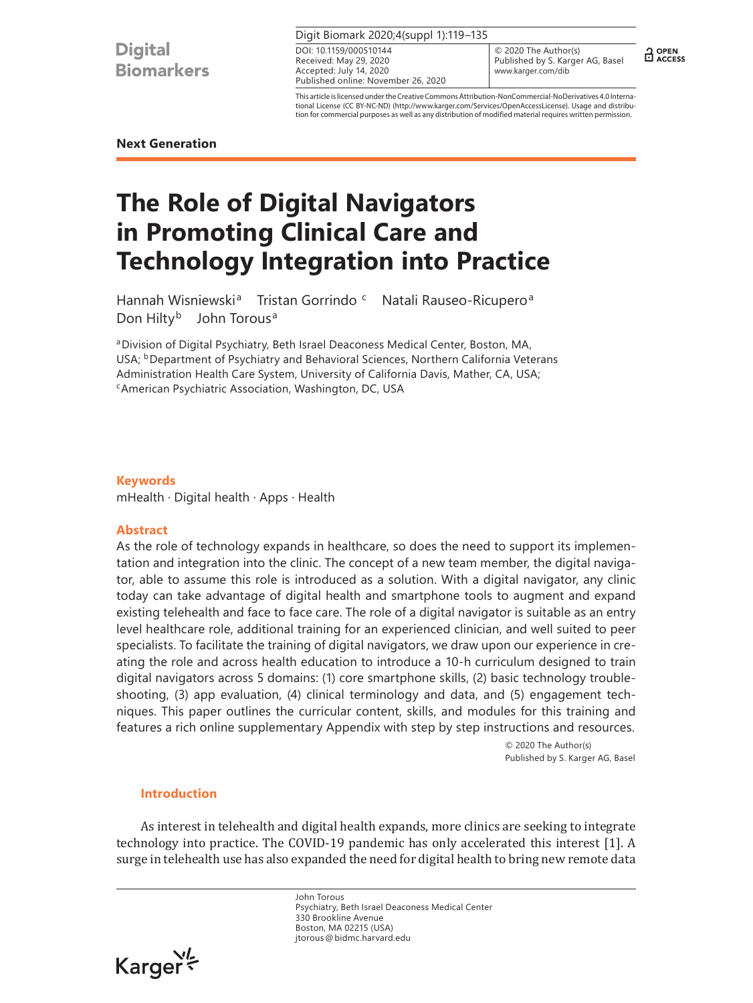## Digit Biomark 2020;4(suppl 1):119–135

Received: May 29, 2020 Accepted: July 14, 2020 Published online: November 26, 2020 DOI: 10.1159/000510144

© 2020 The Author(s) Published by S. Karger AG, Basel www.karger.com/dib

 $\frac{1}{11}$  OPEN

This article is licensed under the Creative Commons Attribution-NonCommercial-NoDerivatives 4.0 International License (CC BY-NC-ND) (http://www.karger.com/Services/OpenAccessLicense). Usage and distribution for commercial purposes as well as any distribution of modified material requires written permission.

## **Next Generation**

# **The Role of Digital Navigators in Promoting Clinical Care and Technology Integration into Practice**

Hannah Wisniewski<sup>a</sup> Tristan Gorrindo c Natali Rauseo-Ricupero<sup>a</sup> Don Hilty<sup>b</sup> John Torous<sup>a</sup>

aDivision of Digital Psychiatry, Beth Israel Deaconess Medical Center, Boston, MA, USA; <sup>b</sup>Department of Psychiatry and Behavioral Sciences, Northern California Veterans Administration Health Care System, University of California Davis, Mather, CA, USA;<br><sup>c</sup>American Psychiatric Association, Washington, DC, USA

## **Keywords**

mHealth · Digital health · Apps · Health

## **Abstract**

As the role of technology expands in healthcare, so does the need to support its implementation and integration into the clinic. The concept of a new team member, the digital navigator, able to assume this role is introduced as a solution. With a digital navigator, any clinic today can take advantage of digital health and smartphone tools to augment and expand existing telehealth and face to face care. The role of a digital navigator is suitable as an entry level healthcare role, additional training for an experienced clinician, and well suited to peer specialists. To facilitate the training of digital navigators, we draw upon our experience in creating the role and across health education to introduce a 10-h curriculum designed to train digital navigators across 5 domains: (1) core smartphone skills, (2) basic technology troubleshooting, (3) app evaluation, (4) clinical terminology and data, and (5) engagement techniques. This paper outlines the curricular content, skills, and modules for this training and features a rich online supplementary Appendix with step by step instructions and resources.

> © 2020 The Author(s) Published by S. Karger AG, Basel

## **Introduction**

<span id="page-0-0"></span>As interest in telehealth and digital health expands, more clinics are seeking to integrate technology into practice. The COVID-19 pandemic has only accelerated this interest [[1](#page-15-0)]. A surge in telehealth use has also expanded the need for digital health to bring new remote data

> John Torous Psychiatry, Beth Israel Deaconess Medical Center 330 Brookline Avenue Boston, MA 02215 (USA) jtorous@bidmc.harvard.edu

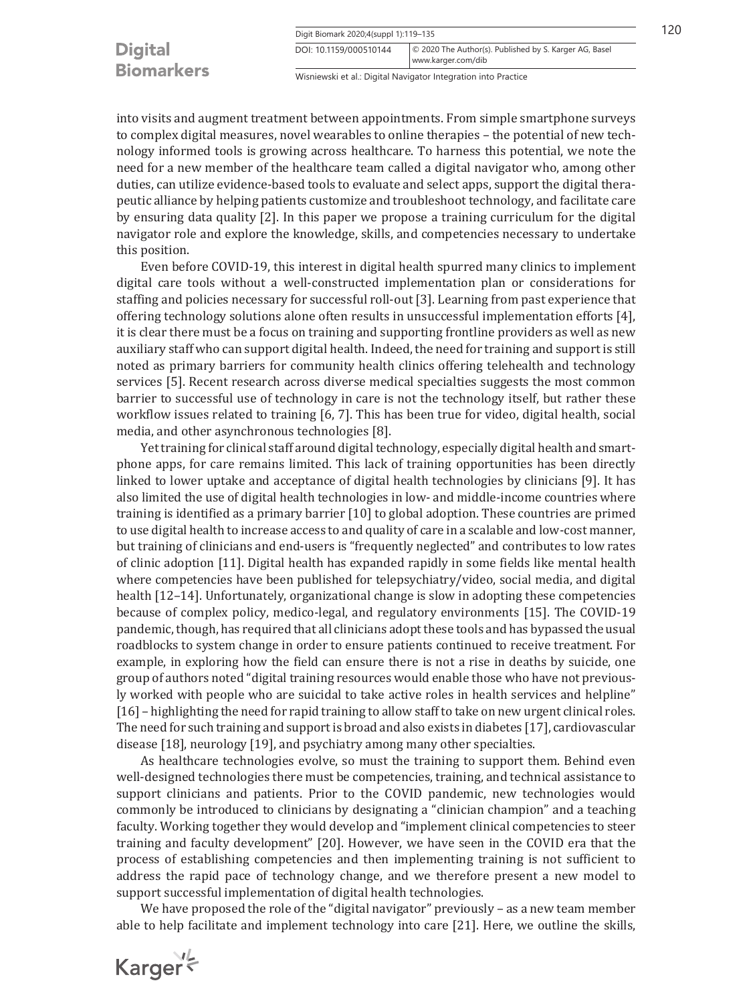| <b>Digital</b>    |  |
|-------------------|--|
| <b>Biomarkers</b> |  |

Wisniewski et al.: Digital Navigator Integration into Practice

www.karger.com/dib DOI: 10.1159/000510144 © 2020 The Author(s). Published by S. Karger AG, Basel

into visits and augment treatment between appointments. From simple smartphone surveys to complex digital measures, novel wearables to online therapies – the potential of new technology informed tools is growing across healthcare. To harness this potential, we note the need for a new member of the healthcare team called a digital navigator who, among other duties, can utilize evidence-based tools to evaluate and select apps, support the digital therapeutic alliance by helping patients customize and troubleshoot technology, and facilitate care by ensuring data quality [\[2](#page-15-1)]. In this paper we propose a training curriculum for the digital navigator role and explore the knowledge, skills, and competencies necessary to undertake this position.

<span id="page-1-2"></span><span id="page-1-1"></span><span id="page-1-0"></span>Even before COVID-19, this interest in digital health spurred many clinics to implement digital care tools without a well-constructed implementation plan or considerations for staffing and policies necessary for successful roll-out [[3\]](#page-15-2). Learning from past experience that offering technology solutions alone often results in unsuccessful implementation efforts [[4](#page-15-3)], it is clear there must be a focus on training and supporting frontline providers as well as new auxiliary staff who can support digital health. Indeed, the need for training and support is still noted as primary barriers for community health clinics offering telehealth and technology services [\[5\]](#page-15-4). Recent research across diverse medical specialties suggests the most common barrier to successful use of technology in care is not the technology itself, but rather these workflow issues related to training [[6,](#page-15-5) [7](#page-15-6)]. This has been true for video, digital health, social media, and other asynchronous technologies [[8\]](#page-16-0).

<span id="page-1-9"></span><span id="page-1-8"></span><span id="page-1-7"></span><span id="page-1-6"></span><span id="page-1-5"></span><span id="page-1-4"></span><span id="page-1-3"></span>Yet training for clinical staff around digital technology, especially digital health and smartphone apps, for care remains limited. This lack of training opportunities has been directly linked to lower uptake and acceptance of digital health technologies by clinicians [[9](#page-16-1)]. It has also limited the use of digital health technologies in low- and middle-income countries where training is identified as a primary barrier [\[1](#page-15-0)0] to global adoption. These countries are primed to use digital health to increase access to and quality of care in a scalable and low-cost manner, but training of clinicians and end-users is "frequently neglected" and contributes to low rates of clinic adoption [\[11\]](#page-15-0). Digital health has expanded rapidly in some fields like mental health where competencies have been published for telepsychiatry/video, social media, and digital health [\[1](#page-15-0)[2–](#page-15-1)[1](#page-15-0)[4](#page-15-3)]. Unfortunately, organizational change is slow in adopting these competencies because of complex policy, medico-legal, and regulatory environments [\[1](#page-15-0)[5\]](#page-15-4). The COVID-19 pandemic, though, has required that all clinicians adopt these tools and has bypassed the usual roadblocks to system change in order to ensure patients continued to receive treatment. For example, in exploring how the field can ensure there is not a rise in deaths by suicide, one group of authors noted "digital training resources would enable those who have not previously worked with people who are suicidal to take active roles in health services and helpline" [[1](#page-15-0)[6](#page-15-5)] – highlighting the need for rapid training to allow staff to take on new urgent clinical roles. The need for such training and support is broad and also exists in diabetes [[1](#page-15-0)[7](#page-15-6)], cardiovascular disease [[1](#page-15-0)[8](#page-16-0)], neurology [[1](#page-15-0)[9](#page-16-1)], and psychiatry among many other specialties.

<span id="page-1-14"></span><span id="page-1-13"></span><span id="page-1-12"></span><span id="page-1-11"></span><span id="page-1-10"></span>As healthcare technologies evolve, so must the training to support them. Behind even well-designed technologies there must be competencies, training, and technical assistance to support clinicians and patients. Prior to the COVID pandemic, new technologies would commonly be introduced to clinicians by designating a "clinician champion" and a teaching faculty. Working together they would develop and "implement clinical competencies to steer training and faculty development" [[20](#page-15-1)]. However, we have seen in the COVID era that the process of establishing competencies and then implementing training is not sufficient to address the rapid pace of technology change, and we therefore present a new model to support successful implementation of digital health technologies.

<span id="page-1-16"></span><span id="page-1-15"></span>We have proposed the role of the "digital navigator" previously – as a new team member able to help facilitate and implement technology into care [[2](#page-15-1)[1](#page-15-0)]. Here, we outline the skills,

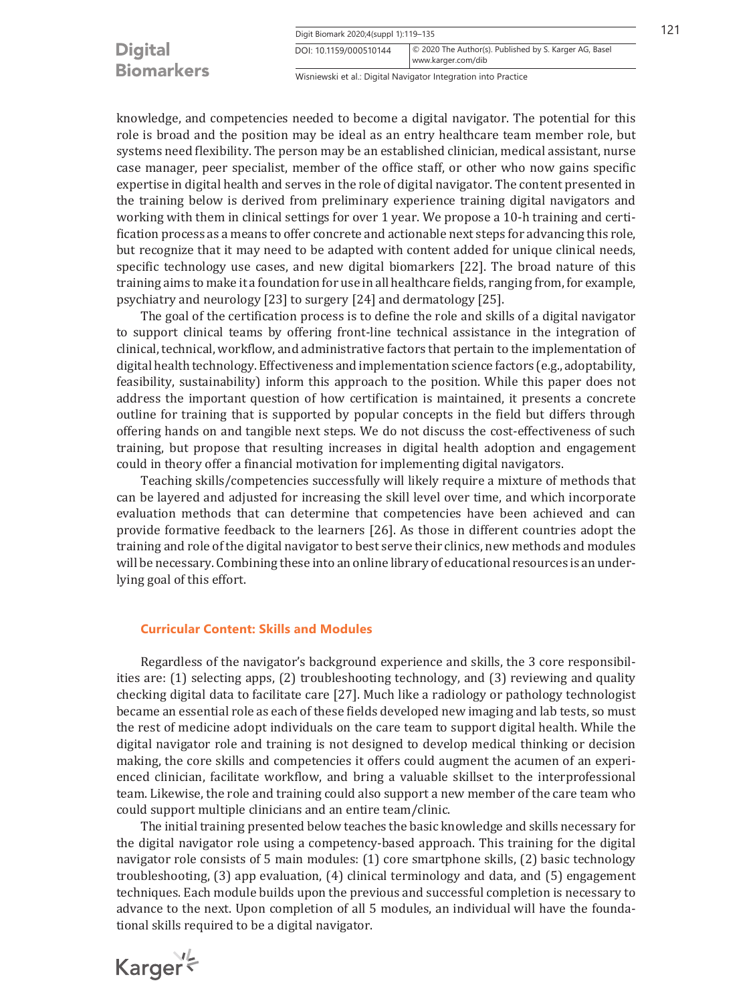## **Digital Biomarkers**

<span id="page-2-3"></span><span id="page-2-2"></span>Wisniewski et al.: Digital Navigator Integration into Practice

www.karger.com/dib DOI: 10.1159/000510144 © 2020 The Author(s). Published by S. Karger AG, Basel

knowledge, and competencies needed to become a digital navigator. The potential for this role is broad and the position may be ideal as an entry healthcare team member role, but systems need flexibility. The person may be an established clinician, medical assistant, nurse case manager, peer specialist, member of the office staff, or other who now gains specific expertise in digital health and serves in the role of digital navigator. The content presented in the training below is derived from preliminary experience training digital navigators and working with them in clinical settings for over 1 year. We propose a 10-h training and certification process as a means to offer concrete and actionable next steps for advancing this role, but recognize that it may need to be adapted with content added for unique clinical needs, specific technology use cases, and new digital biomarkers [\[22](#page-15-1)]. The broad nature of this training aims to make it a foundation for use in all healthcare fields, ranging from, for example, psychiatry and neurology [\[2](#page-15-1)[3](#page-15-2)] to surgery [\[2](#page-15-1)[4\]](#page-15-3) and dermatology [[2](#page-15-1)[5\]](#page-15-4).

<span id="page-2-1"></span><span id="page-2-0"></span>The goal of the certification process is to define the role and skills of a digital navigator to support clinical teams by offering front-line technical assistance in the integration of clinical, technical, workflow, and administrative factors that pertain to the implementation of digital health technology. Effectiveness and implementation science factors (e.g., adoptability, feasibility, sustainability) inform this approach to the position. While this paper does not address the important question of how certification is maintained, it presents a concrete outline for training that is supported by popular concepts in the field but differs through offering hands on and tangible next steps. We do not discuss the cost-effectiveness of such training, but propose that resulting increases in digital health adoption and engagement could in theory offer a financial motivation for implementing digital navigators.

<span id="page-2-4"></span>Teaching skills/competencies successfully will likely require a mixture of methods that can be layered and adjusted for increasing the skill level over time, and which incorporate evaluation methods that can determine that competencies have been achieved and can provide formative feedback to the learners [[2](#page-15-1)[6\]](#page-15-5). As those in different countries adopt the training and role of the digital navigator to best serve their clinics, new methods and modules will be necessary. Combining these into an online library of educational resources is an underlying goal of this effort.

## **Curricular Content: Skills and Modules**

<span id="page-2-5"></span>Regardless of the navigator's background experience and skills, the 3 core responsibilities are: (1) selecting apps, (2) troubleshooting technology, and (3) reviewing and quality checking digital data to facilitate care [\[2](#page-15-1)[7](#page-15-6)]. Much like a radiology or pathology technologist became an essential role as each of these fields developed new imaging and lab tests, so must the rest of medicine adopt individuals on the care team to support digital health. While the digital navigator role and training is not designed to develop medical thinking or decision making, the core skills and competencies it offers could augment the acumen of an experienced clinician, facilitate workflow, and bring a valuable skillset to the interprofessional team. Likewise, the role and training could also support a new member of the care team who could support multiple clinicians and an entire team/clinic.

The initial training presented below teaches the basic knowledge and skills necessary for the digital navigator role using a competency-based approach. This training for the digital navigator role consists of 5 main modules: (1) core smartphone skills, (2) basic technology troubleshooting, (3) app evaluation, (4) clinical terminology and data, and (5) engagement techniques. Each module builds upon the previous and successful completion is necessary to advance to the next. Upon completion of all 5 modules, an individual will have the foundational skills required to be a digital navigator.

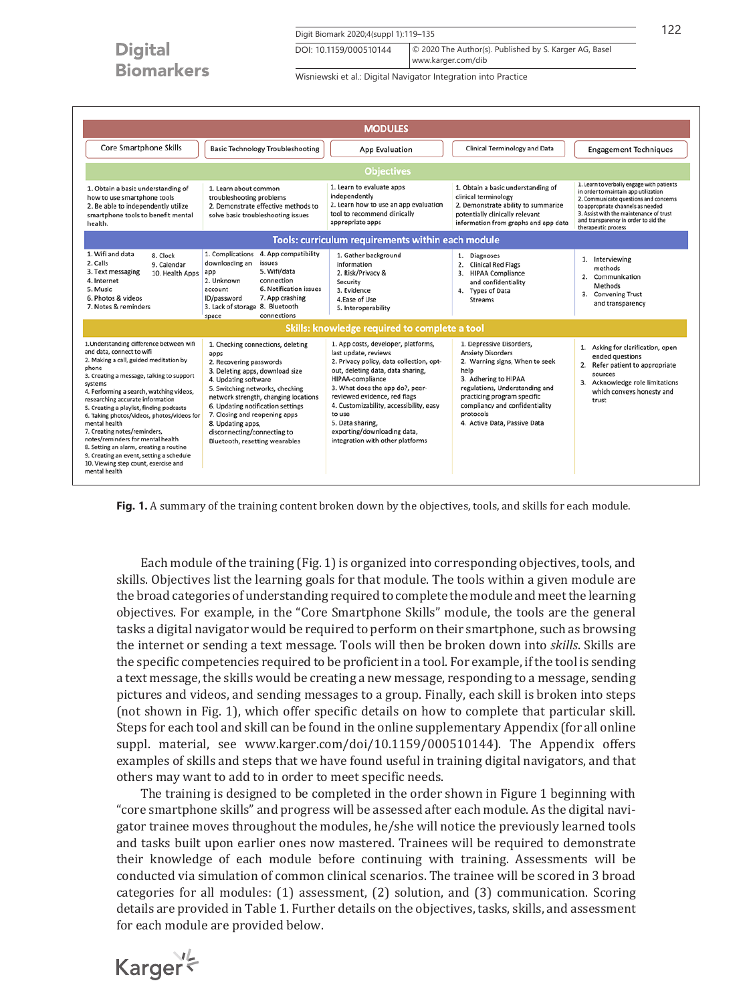Digit Biomark 2020;4(suppl 1):119-135 122

www.karger.com/dib DOI: 10.1159/000510144 © 2020 The Author(s). Published by S. Karger AG, Basel

Wisniewski et al.: Digital Navigator Integration into Practice

|                                                                                                                                                                                                                                                                                                                                                                                                                                                                                                                                                                                                 |                                                                                                                                                                                                                                                                                                                                                                        | <b>MODULES</b>                                                                                                                                                                                                                                                                                                                                                                  |                                                                                                                                                                                                                                                                        |                                                                                                                                                                                                                                                                           |
|-------------------------------------------------------------------------------------------------------------------------------------------------------------------------------------------------------------------------------------------------------------------------------------------------------------------------------------------------------------------------------------------------------------------------------------------------------------------------------------------------------------------------------------------------------------------------------------------------|------------------------------------------------------------------------------------------------------------------------------------------------------------------------------------------------------------------------------------------------------------------------------------------------------------------------------------------------------------------------|---------------------------------------------------------------------------------------------------------------------------------------------------------------------------------------------------------------------------------------------------------------------------------------------------------------------------------------------------------------------------------|------------------------------------------------------------------------------------------------------------------------------------------------------------------------------------------------------------------------------------------------------------------------|---------------------------------------------------------------------------------------------------------------------------------------------------------------------------------------------------------------------------------------------------------------------------|
| Core Smartphone Skills                                                                                                                                                                                                                                                                                                                                                                                                                                                                                                                                                                          | <b>Basic Technology Troubleshooting</b>                                                                                                                                                                                                                                                                                                                                | App Evaluation                                                                                                                                                                                                                                                                                                                                                                  | Clinical Terminology and Data                                                                                                                                                                                                                                          | <b>Engagement Techniques</b>                                                                                                                                                                                                                                              |
|                                                                                                                                                                                                                                                                                                                                                                                                                                                                                                                                                                                                 |                                                                                                                                                                                                                                                                                                                                                                        | <b>Objectives</b>                                                                                                                                                                                                                                                                                                                                                               |                                                                                                                                                                                                                                                                        |                                                                                                                                                                                                                                                                           |
| 1. Obtain a basic understanding of<br>how to use smartphone tools<br>2. Be able to independently utilize<br>smartphone tools to benefit mental<br>health.                                                                                                                                                                                                                                                                                                                                                                                                                                       | 1. Learn about common<br>troubleshooting problems<br>2. Demonstrate effective methods to<br>solve basic troubleshooting issues                                                                                                                                                                                                                                         | 1. Learn to evaluate apps<br>independently<br>2. Learn how to use an app evaluation<br>tool to recommend clinically<br>appropriate apps                                                                                                                                                                                                                                         | 1. Obtain a basic understanding of<br>clinical terminology<br>2. Demonstrate ability to summarize<br>potentially clinically relevant<br>information from graphs and app data                                                                                           | 1. Learn to verbally engage with patients<br>in order to maintain app utilization<br>2. Communicate questions and concerns<br>to appropriate channels as needed<br>3. Assist with the maintenance of trust<br>and transparency in order to aid the<br>therapeutic process |
|                                                                                                                                                                                                                                                                                                                                                                                                                                                                                                                                                                                                 |                                                                                                                                                                                                                                                                                                                                                                        | <b>Tools: curriculum requirements within each module</b>                                                                                                                                                                                                                                                                                                                        |                                                                                                                                                                                                                                                                        |                                                                                                                                                                                                                                                                           |
| 1. Wifi and data<br>8. Clock<br>2. Calls<br>9. Calendar<br>3. Text messaging<br>10. Health Apps<br>4. Internet<br>5. Music<br>6. Photos & videos<br>7. Notes & reminders                                                                                                                                                                                                                                                                                                                                                                                                                        | 1. Complications 4. App compatibility<br>downloading an<br>issues<br>5. Wifi/data<br>app<br>2. Unknown<br>connection<br>6. Notification issues<br>account<br>7. App crashing<br>ID/password<br>3. Lack of storage 8. Bluetooth<br>connections<br>space                                                                                                                 | 1. Gather background<br>information<br>2. Risk/Privacy &<br>Security<br>3. Evidence<br>4. Ease of Use<br>5. Interoperability                                                                                                                                                                                                                                                    | 1. Diagnoses<br><b>Clinical Red Flags</b><br>2.<br>3.<br><b>HIPAA Compliance</b><br>and confidentiality<br>4. Types of Data<br><b>Streams</b>                                                                                                                          | 1. Interviewing<br>methods<br>2.<br>Communication<br>Methods<br>3.<br><b>Convening Trust</b><br>and transparency                                                                                                                                                          |
|                                                                                                                                                                                                                                                                                                                                                                                                                                                                                                                                                                                                 |                                                                                                                                                                                                                                                                                                                                                                        | Skills: knowledge required to complete a tool                                                                                                                                                                                                                                                                                                                                   |                                                                                                                                                                                                                                                                        |                                                                                                                                                                                                                                                                           |
| 1.Understanding difference between wifi<br>and data, connect to wifi<br>2. Making a call, guided meditation by<br>phone<br>3. Creating a message, talking to support<br>systems<br>4. Performing a search, watching videos,<br>researching accurate information<br>5. Creating a playlist, finding podcasts<br>6. Taking photos/videos, photos/videos for<br>mental health<br>7. Creating notes/reminders,<br>notes/reminders for mental health<br>8. Setting an alarm, creating a routine<br>9. Creating an event, setting a schedule<br>10. Viewing step count, exercise and<br>mental health | 1. Checking connections, deleting<br>apps<br>2. Recovering passwords<br>3. Deleting apps, download size<br>4. Updating software<br>5. Switching networks, checking<br>network strength, changing locations<br>6. Updating notification settings<br>7. Closing and reopening apps<br>8. Updating apps,<br>disconnecting/connecting to<br>Bluetooth, resetting wearables | 1. App costs, developer, platforms,<br>last update, reviews<br>2. Privacy policy, data collection, opt-<br>out, deleting data, data sharing,<br>HIPAA-compliance<br>3. What does the app do?, peer-<br>reviewed evidence, red flags<br>4. Customizability, accessibility, easy<br>to use<br>5. Data sharing,<br>exporting/downloading data,<br>integration with other platforms | 1. Depressive Disorders,<br><b>Anxiety Disorders</b><br>2. Warning signs, When to seek<br>help<br>3. Adhering to HIPAA<br>regulations, Understanding and<br>practicing program specific<br>compliancy and confidentiality<br>protocols<br>4. Active Data, Passive Data | 1. Asking for clarification, open<br>ended auestions<br>2. Refer patient to appropriate<br>sources<br>3. Acknowledge role limitations<br>which conveys honesty and<br>trust                                                                                               |

**Fig. 1.** A summary of the training content broken down by the objectives, tools, and skills for each module.

Each module of the training (Fig. 1) is organized into corresponding objectives, tools, and skills. Objectives list the learning goals for that module. The tools within a given module are the broad categories of understanding required to complete the module and meet the learning objectives. For example, in the "Core Smartphone Skills" module, the tools are the general tasks a digital navigator would be required to perform on their smartphone, such as browsing the internet or sending a text message. Tools will then be broken down into *skills*. Skills are the specific competencies required to be proficient in a tool. For example, if the tool is sending a text message, the skills would be creating a new message, responding to a message, sending pictures and videos, and sending messages to a group. Finally, each skill is broken into steps (not shown in Fig. 1), which offer specific details on how to complete that particular skill. Steps for each tool and skill can be found in the online supplementary Appendix (for all online suppl. material, see www.karger.com/doi/10.1159/000510144). The Appendix offers examples of skills and steps that we have found useful in training digital navigators, and that others may want to add to in order to meet specific needs.

The training is designed to be completed in the order shown in Figure 1 beginning with "core smartphone skills" and progress will be assessed after each module. As the digital navigator trainee moves throughout the modules, he/she will notice the previously learned tools and tasks built upon earlier ones now mastered. Trainees will be required to demonstrate their knowledge of each module before continuing with training. Assessments will be conducted via simulation of common clinical scenarios. The trainee will be scored in 3 broad categories for all modules: (1) assessment, (2) solution, and (3) communication. Scoring details are provided in Table 1. Further details on the objectives, tasks, skills, and assessment for each module are provided below.

Karger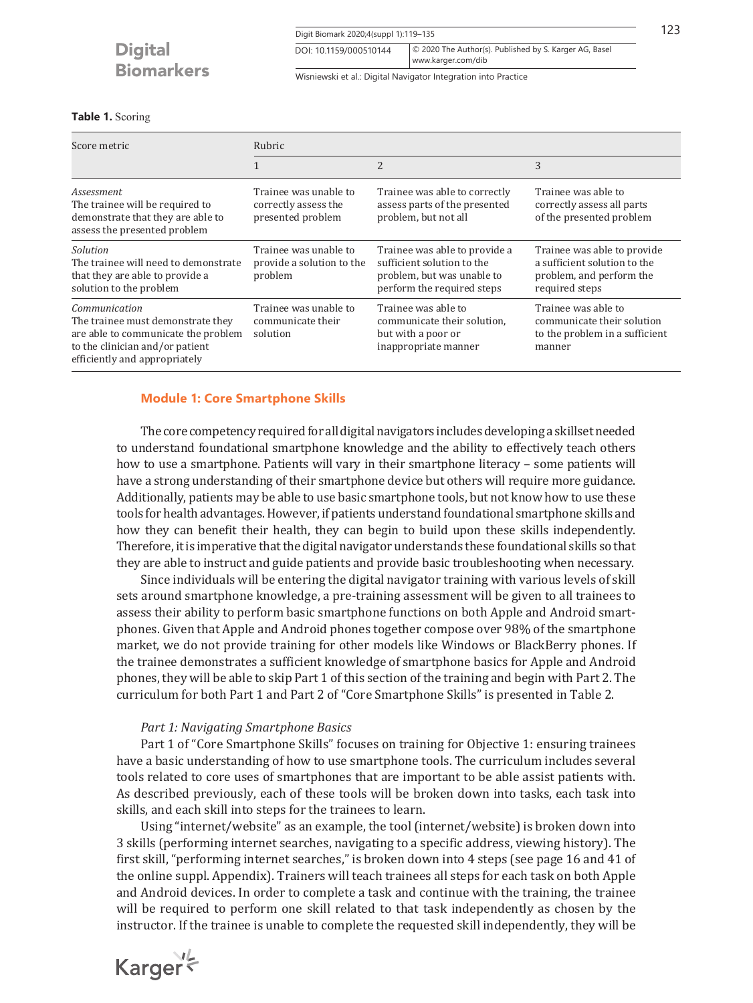Digit Biomark 2020;4(suppl 1):119-135 123 www.karger.com/dib DOI: 10.1159/000510144 © 2020 The Author(s). Published by S. Karger AG, Basel

Wisniewski et al.: Digital Navigator Integration into Practice

## **Table 1.** Scoring

| Score metric                                                                                                                                                  | Rubric                                                             |                                                                                                                         |                                                                                                           |  |
|---------------------------------------------------------------------------------------------------------------------------------------------------------------|--------------------------------------------------------------------|-------------------------------------------------------------------------------------------------------------------------|-----------------------------------------------------------------------------------------------------------|--|
|                                                                                                                                                               |                                                                    | 2                                                                                                                       | 3                                                                                                         |  |
| Assessment<br>The trainee will be required to<br>demonstrate that they are able to<br>assess the presented problem                                            | Trainee was unable to<br>correctly assess the<br>presented problem | Trainee was able to correctly<br>assess parts of the presented<br>problem, but not all                                  | Trainee was able to<br>correctly assess all parts<br>of the presented problem                             |  |
| Solution<br>The trainee will need to demonstrate<br>that they are able to provide a<br>solution to the problem                                                | Trainee was unable to<br>provide a solution to the<br>problem      | Trainee was able to provide a<br>sufficient solution to the<br>problem, but was unable to<br>perform the required steps | Trainee was able to provide<br>a sufficient solution to the<br>problem, and perform the<br>required steps |  |
| Communication<br>The trainee must demonstrate they<br>are able to communicate the problem<br>to the clinician and/or patient<br>efficiently and appropriately | Trainee was unable to<br>communicate their<br>solution             | Trainee was able to<br>communicate their solution.<br>but with a poor or<br>inappropriate manner                        | Trainee was able to<br>communicate their solution<br>to the problem in a sufficient<br>manner             |  |

## **Module 1: Core Smartphone Skills**

The core competency required for all digital navigators includes developing a skillset needed to understand foundational smartphone knowledge and the ability to effectively teach others how to use a smartphone. Patients will vary in their smartphone literacy – some patients will have a strong understanding of their smartphone device but others will require more guidance. Additionally, patients may be able to use basic smartphone tools, but not know how to use these tools for health advantages. However, if patients understand foundational smartphone skills and how they can benefit their health, they can begin to build upon these skills independently. Therefore, it is imperative that the digital navigator understands these foundational skills so that they are able to instruct and guide patients and provide basic troubleshooting when necessary.

Since individuals will be entering the digital navigator training with various levels of skill sets around smartphone knowledge, a pre-training assessment will be given to all trainees to assess their ability to perform basic smartphone functions on both Apple and Android smartphones. Given that Apple and Android phones together compose over 98% of the smartphone market, we do not provide training for other models like Windows or BlackBerry phones. If the trainee demonstrates a sufficient knowledge of smartphone basics for Apple and Android phones, they will be able to skip Part 1 of this section of the training and begin with Part 2. The curriculum for both Part 1 and Part 2 of "Core Smartphone Skills" is presented in Table 2.

## *Part 1: Navigating Smartphone Basics*

Part 1 of "Core Smartphone Skills" focuses on training for Objective 1: ensuring trainees have a basic understanding of how to use smartphone tools. The curriculum includes several tools related to core uses of smartphones that are important to be able assist patients with. As described previously, each of these tools will be broken down into tasks, each task into skills, and each skill into steps for the trainees to learn.

Using "internet/website" as an example, the tool (internet/website) is broken down into 3 skills (performing internet searches, navigating to a specific address, viewing history). The first skill, "performing internet searches," is broken down into 4 steps (see page 16 and 41 of the online suppl. Appendix). Trainers will teach trainees all steps for each task on both Apple and Android devices. In order to complete a task and continue with the training, the trainee will be required to perform one skill related to that task independently as chosen by the instructor. If the trainee is unable to complete the requested skill independently, they will be

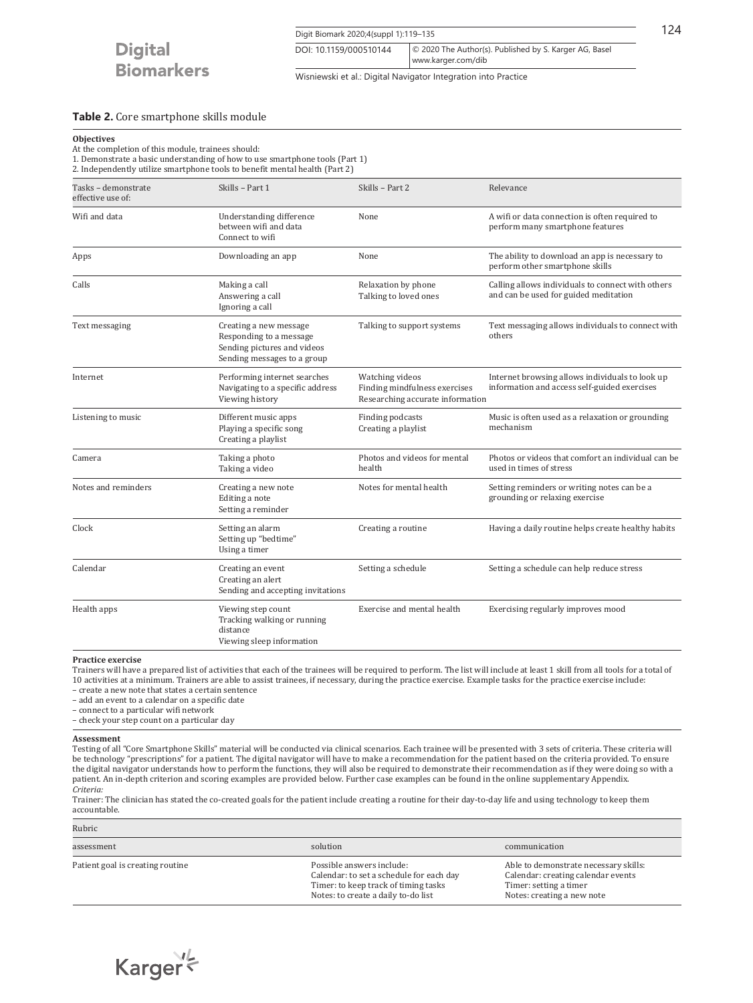

Digit Biomark 2020;4(suppl 1):119–135 124 www.karger.com/dib DOI: 10.1159/000510144 © 2020 The Author(s). Published by S. Karger AG, Basel

Wisniewski et al.: Digital Navigator Integration into Practice

## **Table 2.** Core smartphone skills module

## **Objectives**

At the completion of this module, trainees should:

1. Demonstrate a basic understanding of how to use smartphone tools (Part 1)

2. Independently utilize smartphone tools to benefit mental health (Part 2)

| Tasks - demonstrate<br>effective use of:                                                                                          | Skills - Part 1                                                                            | Skills - Part 2                                                                      | Relevance                                                                                       |  |
|-----------------------------------------------------------------------------------------------------------------------------------|--------------------------------------------------------------------------------------------|--------------------------------------------------------------------------------------|-------------------------------------------------------------------------------------------------|--|
| Wifi and data<br>Understanding difference<br>between wifi and data<br>Connect to wifi                                             |                                                                                            | None                                                                                 | A wifi or data connection is often required to<br>perform many smartphone features              |  |
| Apps                                                                                                                              | Downloading an app                                                                         |                                                                                      | The ability to download an app is necessary to<br>perform other smartphone skills               |  |
| Calls                                                                                                                             | Making a call<br>Answering a call<br>Ignoring a call                                       |                                                                                      | Calling allows individuals to connect with others<br>and can be used for guided meditation      |  |
| Text messaging<br>Creating a new message<br>Responding to a message<br>Sending pictures and videos<br>Sending messages to a group |                                                                                            | Talking to support systems                                                           | Text messaging allows individuals to connect with<br>others                                     |  |
| Internet                                                                                                                          | Performing internet searches<br>Navigating to a specific address<br>Viewing history        | Watching videos<br>Finding mindfulness exercises<br>Researching accurate information | Internet browsing allows individuals to look up<br>information and access self-guided exercises |  |
| Listening to music                                                                                                                | Different music apps<br>Playing a specific song<br>Creating a playlist                     | Finding podcasts<br>Creating a playlist                                              | Music is often used as a relaxation or grounding<br>mechanism                                   |  |
| Camera                                                                                                                            | Taking a photo<br>Taking a video                                                           | Photos and videos for mental<br>health                                               | Photos or videos that comfort an individual can be<br>used in times of stress                   |  |
| Notes and reminders<br>Creating a new note<br>Editing a note<br>Setting a reminder                                                |                                                                                            | Notes for mental health                                                              | Setting reminders or writing notes can be a<br>grounding or relaxing exercise                   |  |
| Clock<br>Setting an alarm<br>Setting up "bedtime"<br>Using a timer                                                                |                                                                                            | Creating a routine                                                                   | Having a daily routine helps create healthy habits                                              |  |
| Calendar                                                                                                                          | Creating an event<br>Creating an alert<br>Sending and accepting invitations                | Setting a schedule                                                                   | Setting a schedule can help reduce stress                                                       |  |
| Health apps                                                                                                                       | Viewing step count<br>Tracking walking or running<br>distance<br>Viewing sleep information | Exercise and mental health                                                           | Exercising regularly improves mood                                                              |  |

#### **Practice exercise**

Trainers will have a prepared list of activities that each of the trainees will be required to perform. The list will include at least 1 skill from all tools for a total of 10 activities at a minimum. Trainers are able to assist trainees, if necessary, during the practice exercise. Example tasks for the practice exercise include:

– create a new note that states a certain sentence

– add an event to a calendar on a specific date – connect to a particular wifi network

– check your step count on a particular day

#### **Assessment**

Testing of all "Core Smartphone Skills" material will be conducted via clinical scenarios. Each trainee will be presented with 3 sets of criteria. These criteria will be technology "prescriptions" for a patient. The digital navigator will have to make a recommendation for the patient based on the criteria provided. To ensure the digital navigator understands how to perform the functions, they will also be required to demonstrate their recommendation as if they were doing so with a patient. An in-depth criterion and scoring examples are provided below. Further case examples can be found in the online supplementary Appendix. *Criteria:*

Trainer: The clinician has stated the co-created goals for the patient include creating a routine for their day-to-day life and using technology to keep them accountable.

| Rubric                           |                                                                                                                                                      |                                                                                                                                     |
|----------------------------------|------------------------------------------------------------------------------------------------------------------------------------------------------|-------------------------------------------------------------------------------------------------------------------------------------|
| assessment                       | solution                                                                                                                                             | communication                                                                                                                       |
| Patient goal is creating routine | Possible answers include:<br>Calendar: to set a schedule for each day<br>Timer: to keep track of timing tasks<br>Notes: to create a daily to-do list | Able to demonstrate necessary skills:<br>Calendar: creating calendar events<br>Timer: setting a timer<br>Notes: creating a new note |

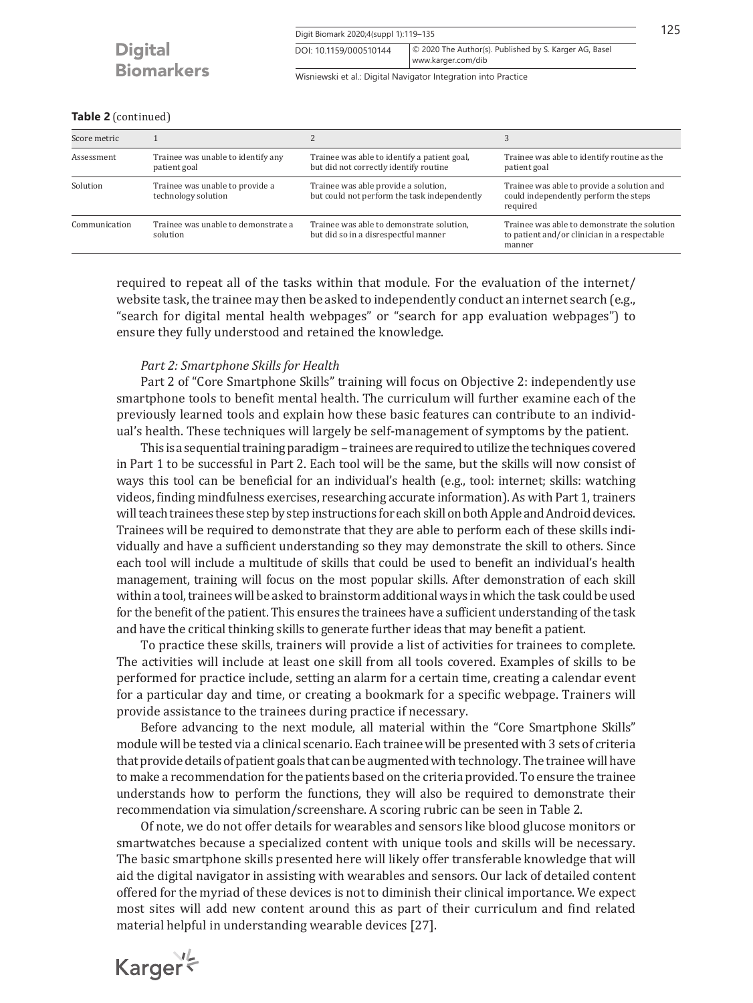Wisniewski et al.: Digital Navigator Integration into Practice

www.karger.com/dib DOI: 10.1159/000510144 © 2020 The Author(s). Published by S. Karger AG, Basel

## **Table 2** (continued)

| Score metric  |                                                        |                                                                                        |                                                                                                        |
|---------------|--------------------------------------------------------|----------------------------------------------------------------------------------------|--------------------------------------------------------------------------------------------------------|
| Assessment    | Trainee was unable to identify any<br>patient goal     | Trainee was able to identify a patient goal,<br>but did not correctly identify routine | Trainee was able to identify routine as the<br>patient goal                                            |
| Solution      | Trainee was unable to provide a<br>technology solution | Trainee was able provide a solution,<br>but could not perform the task independently   | Trainee was able to provide a solution and<br>could independently perform the steps<br>required        |
| Communication | Trainee was unable to demonstrate a<br>solution        | Trainee was able to demonstrate solution,<br>but did so in a disrespectful manner      | Trainee was able to demonstrate the solution<br>to patient and/or clinician in a respectable<br>manner |

required to repeat all of the tasks within that module. For the evaluation of the internet/ website task, the trainee may then be asked to independently conduct an internet search (e.g., "search for digital mental health webpages" or "search for app evaluation webpages") to ensure they fully understood and retained the knowledge.

## *Part 2: Smartphone Skills for Health*

Part 2 of "Core Smartphone Skills" training will focus on Objective 2: independently use smartphone tools to benefit mental health. The curriculum will further examine each of the previously learned tools and explain how these basic features can contribute to an individual's health. These techniques will largely be self-management of symptoms by the patient.

This is a sequential training paradigm – trainees are required to utilize the techniques covered in Part 1 to be successful in Part 2. Each tool will be the same, but the skills will now consist of ways this tool can be beneficial for an individual's health (e.g., tool: internet; skills: watching videos, finding mindfulness exercises, researching accurate information). As with Part 1, trainers will teach trainees these step by step instructions for each skill on both Apple and Android devices. Trainees will be required to demonstrate that they are able to perform each of these skills individually and have a sufficient understanding so they may demonstrate the skill to others. Since each tool will include a multitude of skills that could be used to benefit an individual's health management, training will focus on the most popular skills. After demonstration of each skill within a tool, trainees will be asked to brainstorm additional ways in which the task could be used for the benefit of the patient. This ensures the trainees have a sufficient understanding of the task and have the critical thinking skills to generate further ideas that may benefit a patient.

To practice these skills, trainers will provide a list of activities for trainees to complete. The activities will include at least one skill from all tools covered. Examples of skills to be performed for practice include, setting an alarm for a certain time, creating a calendar event for a particular day and time, or creating a bookmark for a specific webpage. Trainers will provide assistance to the trainees during practice if necessary.

Before advancing to the next module, all material within the "Core Smartphone Skills" module will be tested via a clinical scenario. Each trainee will be presented with 3 sets of criteria that provide details of patient goals that can be augmented with technology. The trainee will have to make a recommendation for the patients based on the criteria provided. To ensure the trainee understands how to perform the functions, they will also be required to demonstrate their recommendation via simulation/screenshare. A scoring rubric can be seen in Table 2.

Of note, we do not offer details for wearables and sensors like blood glucose monitors or smartwatches because a specialized content with unique tools and skills will be necessary. The basic smartphone skills presented here will likely offer transferable knowledge that will aid the digital navigator in assisting with wearables and sensors. Our lack of detailed content offered for the myriad of these devices is not to diminish their clinical importance. We expect most sites will add new content around this as part of their curriculum and find related material helpful in understanding wearable devices [\[2](#page-15-1)[7](#page-15-6)].

Karger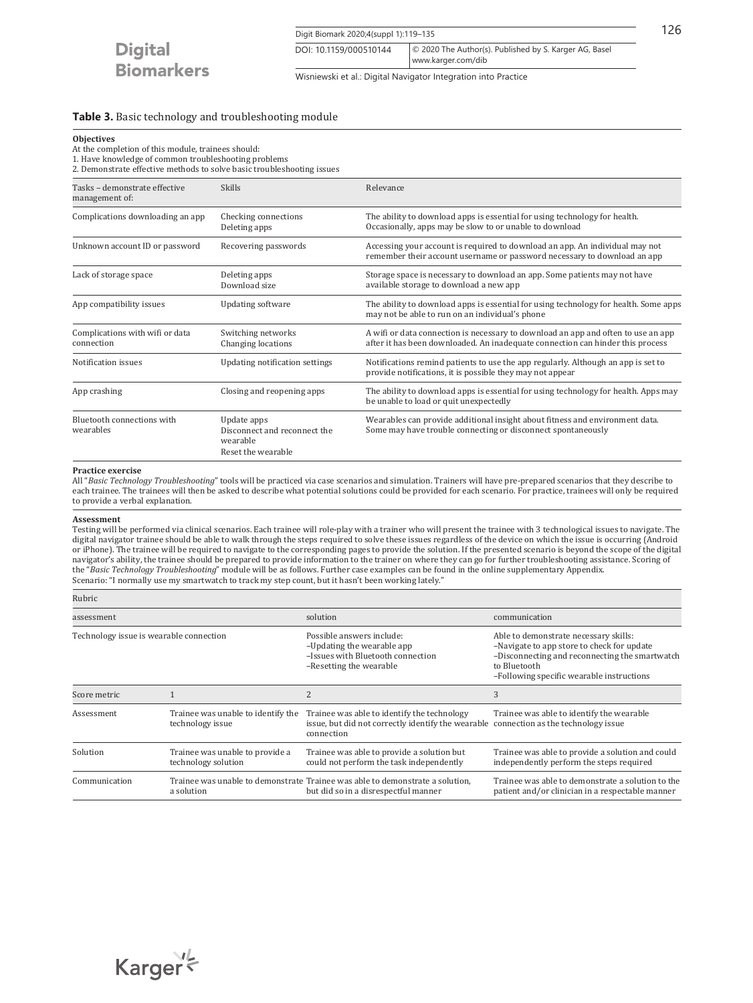Digit Biomark 2020;4(suppl 1):119–135 126 www.karger.com/dib DOI: 10.1159/000510144 © 2020 The Author(s). Published by S. Karger AG, Basel

Wisniewski et al.: Digital Navigator Integration into Practice

## **Table 3.** Basic technology and troubleshooting module

## **Objectives**

At the completion of this module, trainees should:

1. Have knowledge of common troubleshooting problems

2. Demonstrate effective methods to solve basic troubleshooting issues

| Tasks - demonstrate effective<br>management of: | <b>Skills</b>                                                                 | Relevance                                                                                                                                                           |
|-------------------------------------------------|-------------------------------------------------------------------------------|---------------------------------------------------------------------------------------------------------------------------------------------------------------------|
| Complications downloading an app                | Checking connections<br>Deleting apps                                         | The ability to download apps is essential for using technology for health.<br>Occasionally, apps may be slow to or unable to download                               |
| Unknown account ID or password                  | Recovering passwords                                                          | Accessing your account is required to download an app. An individual may not<br>remember their account username or password necessary to download an app            |
| Lack of storage space                           | Deleting apps<br>Download size                                                | Storage space is necessary to download an app. Some patients may not have<br>available storage to download a new app                                                |
| App compatibility issues                        | <b>Updating software</b>                                                      | The ability to download apps is essential for using technology for health. Some apps<br>may not be able to run on an individual's phone                             |
| Complications with wifi or data<br>connection   | Switching networks<br>Changing locations                                      | A wifi or data connection is necessary to download an app and often to use an app<br>after it has been downloaded. An inadequate connection can hinder this process |
| Notification issues                             | Updating notification settings                                                | Notifications remind patients to use the app regularly. Although an app is set to<br>provide notifications, it is possible they may not appear                      |
| App crashing                                    | Closing and reopening apps                                                    | The ability to download apps is essential for using technology for health. Apps may<br>be unable to load or quit unexpectedly                                       |
| Bluetooth connections with<br>wearables         | Update apps<br>Disconnect and reconnect the<br>wearable<br>Reset the wearable | Wearables can provide additional insight about fitness and environment data.<br>Some may have trouble connecting or disconnect spontaneously                        |

#### **Practice exercise**

All "*Basic Technology Troubleshooting*" tools will be practiced via case scenarios and simulation. Trainers will have pre-prepared scenarios that they describe to each trainee. The trainees will then be asked to describe what potential solutions could be provided for each scenario. For practice, trainees will only be required to provide a verbal explanation.

#### **Assessment**

Testing will be performed via clinical scenarios. Each trainee will role-play with a trainer who will present the trainee with 3 technological issues to navigate. The digital navigator trainee should be able to walk through the steps required to solve these issues regardless of the device on which the issue is occurring (Android or iPhone). The trainee will be required to navigate to the corresponding pages to provide the solution. If the presented scenario is beyond the scope of the digital navigator's ability, the trainee should be prepared to provide information to the trainer on where they can go for further troubleshooting assistance. Scoring of the "*Basic Technology Troubleshooting*" module will be as follows. Further case examples can be found in the online supplementary Appendix. Scenario: "I normally use my smartwatch to track my step count, but it hasn't been working lately."

| Rubric                                  |                                                        |                                                                                                                                                    |                                                                                                                                                                                                    |
|-----------------------------------------|--------------------------------------------------------|----------------------------------------------------------------------------------------------------------------------------------------------------|----------------------------------------------------------------------------------------------------------------------------------------------------------------------------------------------------|
| assessment                              |                                                        | solution                                                                                                                                           | communication                                                                                                                                                                                      |
| Technology issue is wearable connection |                                                        | Possible answers include:<br>-Updating the wearable app<br>-Issues with Bluetooth connection<br>-Resetting the wearable                            | Able to demonstrate necessary skills:<br>-Navigate to app store to check for update<br>-Disconnecting and reconnecting the smartwatch<br>to Bluetooth<br>-Following specific wearable instructions |
| Score metric                            |                                                        | $\overline{c}$                                                                                                                                     | 3                                                                                                                                                                                                  |
| Assessment                              | Trainee was unable to identify the<br>technology issue | Trainee was able to identify the technology<br>issue, but did not correctly identify the wearable connection as the technology issue<br>connection | Trainee was able to identify the wearable                                                                                                                                                          |
| Solution                                | Trainee was unable to provide a<br>technology solution | Trainee was able to provide a solution but<br>could not perform the task independently                                                             | Trainee was able to provide a solution and could<br>independently perform the steps required                                                                                                       |
| Communication                           | a solution                                             | Trainee was unable to demonstrate Trainee was able to demonstrate a solution.<br>but did so in a disrespectful manner                              | Trainee was able to demonstrate a solution to the<br>patient and/or clinician in a respectable manner                                                                                              |

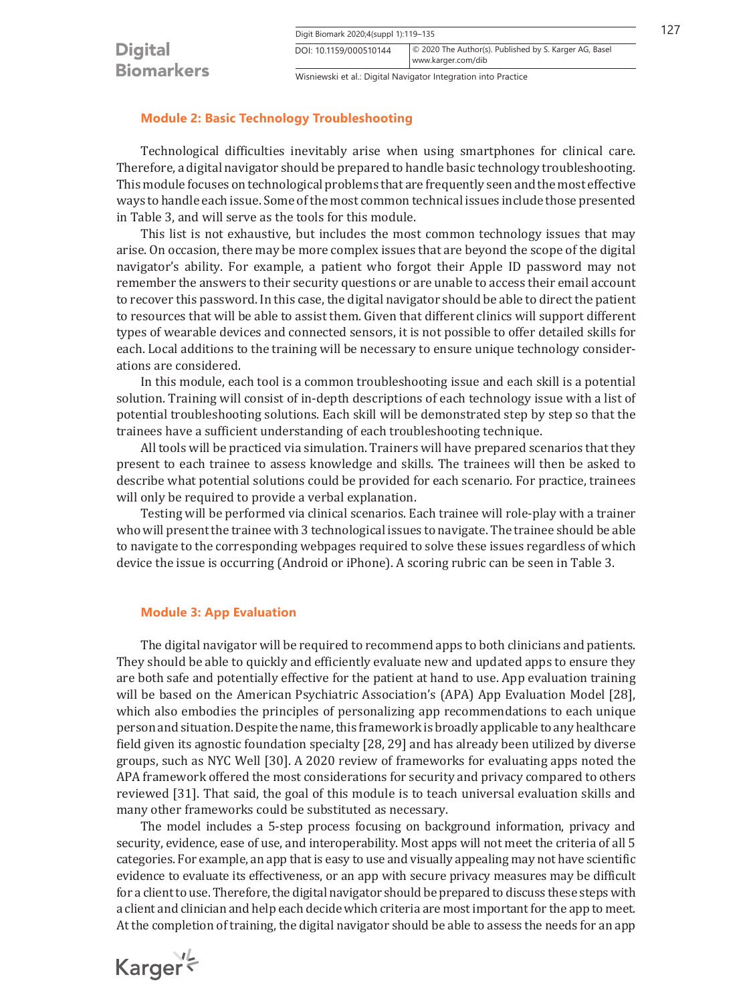| DOI: 10.1159/000510144 | © 2020 The Author(s). Published by S. Karger AG, Basel |
|------------------------|--------------------------------------------------------|
|                        | www.karger.com/dib                                     |
|                        |                                                        |

Wisniewski et al.: Digital Navigator Integration into Practice

## **Module 2: Basic Technology Troubleshooting**

Technological difficulties inevitably arise when using smartphones for clinical care. Therefore, a digital navigator should be prepared to handle basic technology troubleshooting. This module focuses on technological problems that are frequently seen and the most effective ways to handle each issue. Some of the most common technical issues include those presented in Table 3, and will serve as the tools for this module.

This list is not exhaustive, but includes the most common technology issues that may arise. On occasion, there may be more complex issues that are beyond the scope of the digital navigator's ability. For example, a patient who forgot their Apple ID password may not remember the answers to their security questions or are unable to access their email account to recover this password. In this case, the digital navigator should be able to direct the patient to resources that will be able to assist them. Given that different clinics will support different types of wearable devices and connected sensors, it is not possible to offer detailed skills for each. Local additions to the training will be necessary to ensure unique technology considerations are considered.

In this module, each tool is a common troubleshooting issue and each skill is a potential solution. Training will consist of in-depth descriptions of each technology issue with a list of potential troubleshooting solutions. Each skill will be demonstrated step by step so that the trainees have a sufficient understanding of each troubleshooting technique.

All tools will be practiced via simulation. Trainers will have prepared scenarios that they present to each trainee to assess knowledge and skills. The trainees will then be asked to describe what potential solutions could be provided for each scenario. For practice, trainees will only be required to provide a verbal explanation.

Testing will be performed via clinical scenarios. Each trainee will role-play with a trainer who will present the trainee with 3 technological issues to navigate. The trainee should be able to navigate to the corresponding webpages required to solve these issues regardless of which device the issue is occurring (Android or iPhone). A scoring rubric can be seen in Table 3.

## **Module 3: App Evaluation**

<span id="page-8-0"></span>The digital navigator will be required to recommend apps to both clinicians and patients. They should be able to quickly and efficiently evaluate new and updated apps to ensure they are both safe and potentially effective for the patient at hand to use. App evaluation training will be based on the American Psychiatric Association's (APA) App Evaluation Model [[2](#page-15-1)[8](#page-16-0)], which also embodies the principles of personalizing app recommendations to each unique person and situation. Despite the name, this framework is broadly applicable to any healthcare field given its agnostic foundation specialty [[2](#page-15-1)[8](#page-16-0), [2](#page-15-1)[9](#page-16-1)] and has already been utilized by diverse groups, such as NYC Well [[30](#page-15-2)]. A 2020 review of frameworks for evaluating apps noted the APA framework offered the most considerations for security and privacy compared to others reviewed [[3](#page-15-2)[1](#page-15-0)]. That said, the goal of this module is to teach universal evaluation skills and many other frameworks could be substituted as necessary.

<span id="page-8-1"></span>The model includes a 5-step process focusing on background information, privacy and security, evidence, ease of use, and interoperability. Most apps will not meet the criteria of all 5 categories. For example, an app that is easy to use and visually appealing may not have scientific evidence to evaluate its effectiveness, or an app with secure privacy measures may be difficult for a client to use. Therefore, the digital navigator should be prepared to discuss these steps with a client and clinician and help each decide which criteria are most important for the app to meet. At the completion of training, the digital navigator should be able to assess the needs for an app

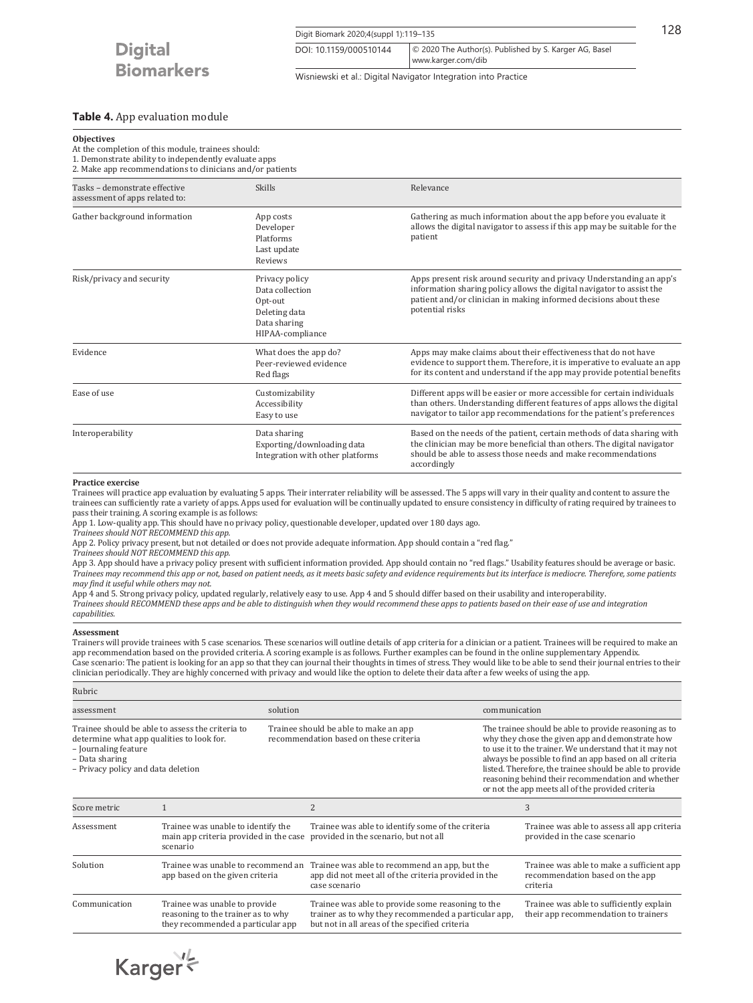Digit Biomark 2020;4(suppl 1):119-135 128 www.karger.com/dib DOI: 10.1159/000510144 © 2020 The Author(s). Published by S. Karger AG, Basel

Wisniewski et al.: Digital Navigator Integration into Practice

## **Table 4.** App evaluation module

At the completion of this module, trainees should:

1. Demonstrate ability to independently evaluate apps

2. Make app recommendations to clinicians and/or patients

| Tasks - demonstrate effective<br>assessment of apps related to: | <b>Skills</b>                                                                                     | Relevance                                                                                                                                                                                                                             |
|-----------------------------------------------------------------|---------------------------------------------------------------------------------------------------|---------------------------------------------------------------------------------------------------------------------------------------------------------------------------------------------------------------------------------------|
| Gather background information                                   | App costs<br>Developer<br>Platforms<br>Last update<br>Reviews                                     | Gathering as much information about the app before you evaluate it<br>allows the digital navigator to assess if this app may be suitable for the<br>patient                                                                           |
| Risk/privacy and security                                       | Privacy policy<br>Data collection<br>Opt-out<br>Deleting data<br>Data sharing<br>HIPAA-compliance | Apps present risk around security and privacy Understanding an app's<br>information sharing policy allows the digital navigator to assist the<br>patient and/or clinician in making informed decisions about these<br>potential risks |
| Evidence                                                        | What does the app do?<br>Peer-reviewed evidence<br>Red flags                                      | Apps may make claims about their effectiveness that do not have<br>evidence to support them. Therefore, it is imperative to evaluate an app<br>for its content and understand if the app may provide potential benefits               |
| Ease of use                                                     | Customizability<br>Accessibility<br>Easy to use                                                   | Different apps will be easier or more accessible for certain individuals<br>than others. Understanding different features of apps allows the digital<br>navigator to tailor app recommendations for the patient's preferences         |
| Interoperability                                                | Data sharing<br>Exporting/downloading data<br>Integration with other platforms                    | Based on the needs of the patient, certain methods of data sharing with<br>the clinician may be more beneficial than others. The digital navigator<br>should be able to assess those needs and make recommendations<br>accordingly    |

#### **Practice exercise**

Trainees will practice app evaluation by evaluating 5 apps. Their interrater reliability will be assessed. The 5 apps will vary in their quality and content to assure the trainees can sufficiently rate a variety of apps. Apps used for evaluation will be continually updated to ensure consistency in difficulty of rating required by trainees to pass their training. A scoring example is as follows:

App 1. Low-quality app. This should have no privacy policy, questionable developer, updated over 180 days ago.

*Trainees should NOT RECOMMEND this app.*

App 2. Policy privacy present, but not detailed or does not provide adequate information. App should contain a "red flag." *Trainees should NOT RECOMMEND this app.*

App 3. App should have a privacy policy present with sufficient information provided. App should contain no "red flags." Usability features should be average or basic. *Trainees may recommend this app or not, based on patient needs, as it meets basic safety and evidence requirements but its interface is mediocre. Therefore, some patients may find it useful while others may not.* 

App 4 and 5. Strong privacy policy, updated regularly, relatively easy to use. App 4 and 5 should differ based on their usability and interoperability. *Trainees should RECOMMEND these apps and be able to distinguish when they would recommend these apps to patients based on their ease of use and integration capabilities.*

#### **Assessment**

Trainers will provide trainees with 5 case scenarios. These scenarios will outline details of app criteria for a clinician or a patient. Trainees will be required to make an app recommendation based on the provided criteria. A scoring example is as follows. Further examples can be found in the online supplementary Appendix. Case scenario: The patient is looking for an app so that they can journal their thoughts in times of stress. They would like to be able to send their journal entries to their clinician periodically. They are highly concerned with privacy and would like the option to delete their data after a few weeks of using the app.

| Rubric                                                                       |                                                                                                          |          |                                                                                                                                                             |               |                                                                                                                                                                                                                                                                                                                                                                                                       |
|------------------------------------------------------------------------------|----------------------------------------------------------------------------------------------------------|----------|-------------------------------------------------------------------------------------------------------------------------------------------------------------|---------------|-------------------------------------------------------------------------------------------------------------------------------------------------------------------------------------------------------------------------------------------------------------------------------------------------------------------------------------------------------------------------------------------------------|
| assessment                                                                   |                                                                                                          | solution |                                                                                                                                                             | communication |                                                                                                                                                                                                                                                                                                                                                                                                       |
| - Journaling feature<br>- Data sharing<br>- Privacy policy and data deletion | Trainee should be able to assess the criteria to<br>determine what app qualities to look for.            |          | Trainee should be able to make an app<br>recommendation based on these criteria                                                                             |               | The trainee should be able to provide reasoning as to<br>why they chose the given app and demonstrate how<br>to use it to the trainer. We understand that it may not<br>always be possible to find an app based on all criteria<br>listed. Therefore, the trainee should be able to provide<br>reasoning behind their recommendation and whether<br>or not the app meets all of the provided criteria |
| Score metric                                                                 |                                                                                                          |          | $\overline{2}$                                                                                                                                              |               | 3                                                                                                                                                                                                                                                                                                                                                                                                     |
| Assessment                                                                   | Trainee was unable to identify the<br>main app criteria provided in the case<br>scenario                 |          | Trainee was able to identify some of the criteria<br>provided in the scenario, but not all                                                                  |               | Trainee was able to assess all app criteria<br>provided in the case scenario                                                                                                                                                                                                                                                                                                                          |
| Solution                                                                     | Trainee was unable to recommend an<br>app based on the given criteria                                    |          | Trainee was able to recommend an app, but the<br>app did not meet all of the criteria provided in the<br>case scenario                                      |               | Trainee was able to make a sufficient app<br>recommendation based on the app<br>criteria                                                                                                                                                                                                                                                                                                              |
| Communication                                                                | Trainee was unable to provide<br>reasoning to the trainer as to why<br>they recommended a particular app |          | Trainee was able to provide some reasoning to the<br>trainer as to why they recommended a particular app,<br>but not in all areas of the specified criteria |               | Trainee was able to sufficiently explain<br>their app recommendation to trainers                                                                                                                                                                                                                                                                                                                      |



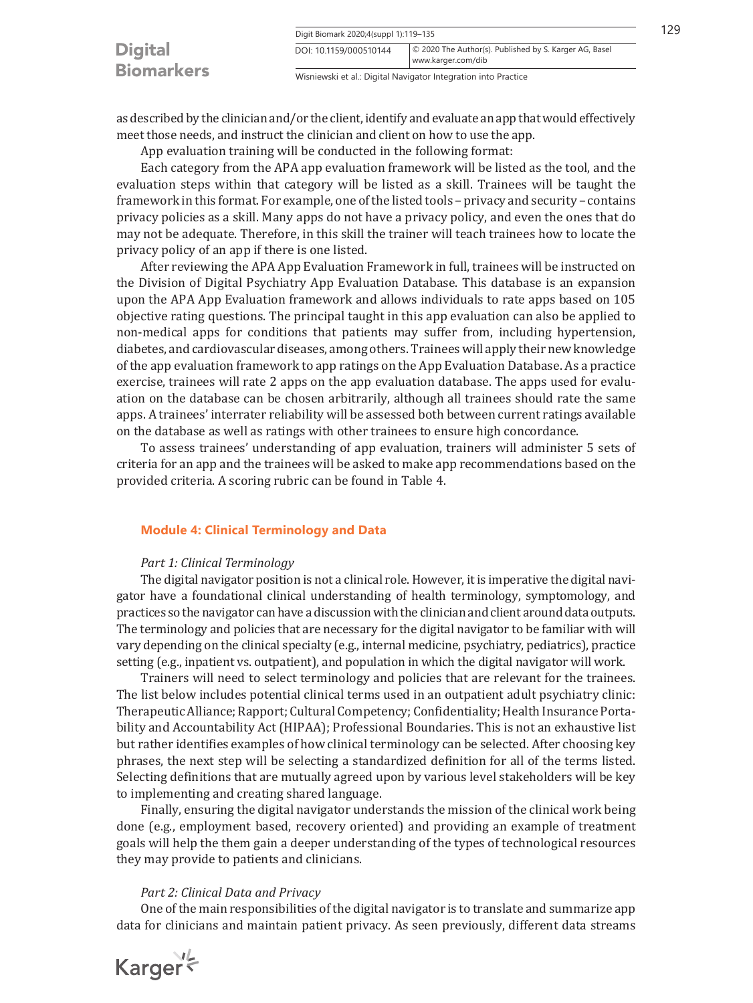|                                     | Digit Biomark 2020;4(suppl 1):119-135                                                                  |  | 129 |
|-------------------------------------|--------------------------------------------------------------------------------------------------------|--|-----|
| <b>Digital</b><br><b>Biomarkers</b> | © 2020 The Author(s). Published by S. Karger AG, Basel<br>DOI: 10.1159/000510144<br>www.karger.com/dib |  |     |
|                                     | Wisniewski et al.: Digital Navigator Integration into Practice                                         |  |     |

as described by the clinician and/or the client, identify and evaluate an app that would effectively meet those needs, and instruct the clinician and client on how to use the app.

App evaluation training will be conducted in the following format:

Each category from the APA app evaluation framework will be listed as the tool, and the evaluation steps within that category will be listed as a skill. Trainees will be taught the framework in this format. For example, one of the listed tools – privacy and security – contains privacy policies as a skill. Many apps do not have a privacy policy, and even the ones that do may not be adequate. Therefore, in this skill the trainer will teach trainees how to locate the privacy policy of an app if there is one listed.

After reviewing the APA App Evaluation Framework in full, trainees will be instructed on the Division of Digital Psychiatry App Evaluation Database. This database is an expansion upon the APA App Evaluation framework and allows individuals to rate apps based on 105 objective rating questions. The principal taught in this app evaluation can also be applied to non-medical apps for conditions that patients may suffer from, including hypertension, diabetes, and cardiovascular diseases, among others. Trainees will apply their new knowledge of the app evaluation framework to app ratings on the App Evaluation Database. As a practice exercise, trainees will rate 2 apps on the app evaluation database. The apps used for evaluation on the database can be chosen arbitrarily, although all trainees should rate the same apps. A trainees' interrater reliability will be assessed both between current ratings available on the database as well as ratings with other trainees to ensure high concordance.

To assess trainees' understanding of app evaluation, trainers will administer 5 sets of criteria for an app and the trainees will be asked to make app recommendations based on the provided criteria. A scoring rubric can be found in Table 4.

## **Module 4: Clinical Terminology and Data**

## *Part 1: Clinical Terminology*

The digital navigator position is not a clinical role. However, it is imperative the digital navigator have a foundational clinical understanding of health terminology, symptomology, and practices so the navigator can have a discussion with the clinician and client around data outputs. The terminology and policies that are necessary for the digital navigator to be familiar with will vary depending on the clinical specialty (e.g., internal medicine, psychiatry, pediatrics), practice setting (e.g., inpatient vs. outpatient), and population in which the digital navigator will work.

Trainers will need to select terminology and policies that are relevant for the trainees. The list below includes potential clinical terms used in an outpatient adult psychiatry clinic: Therapeutic Alliance; Rapport; Cultural Competency; Confidentiality; Health Insurance Portability and Accountability Act (HIPAA); Professional Boundaries. This is not an exhaustive list but rather identifies examples of how clinical terminology can be selected. After choosing key phrases, the next step will be selecting a standardized definition for all of the terms listed. Selecting definitions that are mutually agreed upon by various level stakeholders will be key to implementing and creating shared language.

Finally, ensuring the digital navigator understands the mission of the clinical work being done (e.g., employment based, recovery oriented) and providing an example of treatment goals will help the them gain a deeper understanding of the types of technological resources they may provide to patients and clinicians.

## *Part 2: Clinical Data and Privacy*

One of the main responsibilities of the digital navigator is to translate and summarize app data for clinicians and maintain patient privacy. As seen previously, different data streams

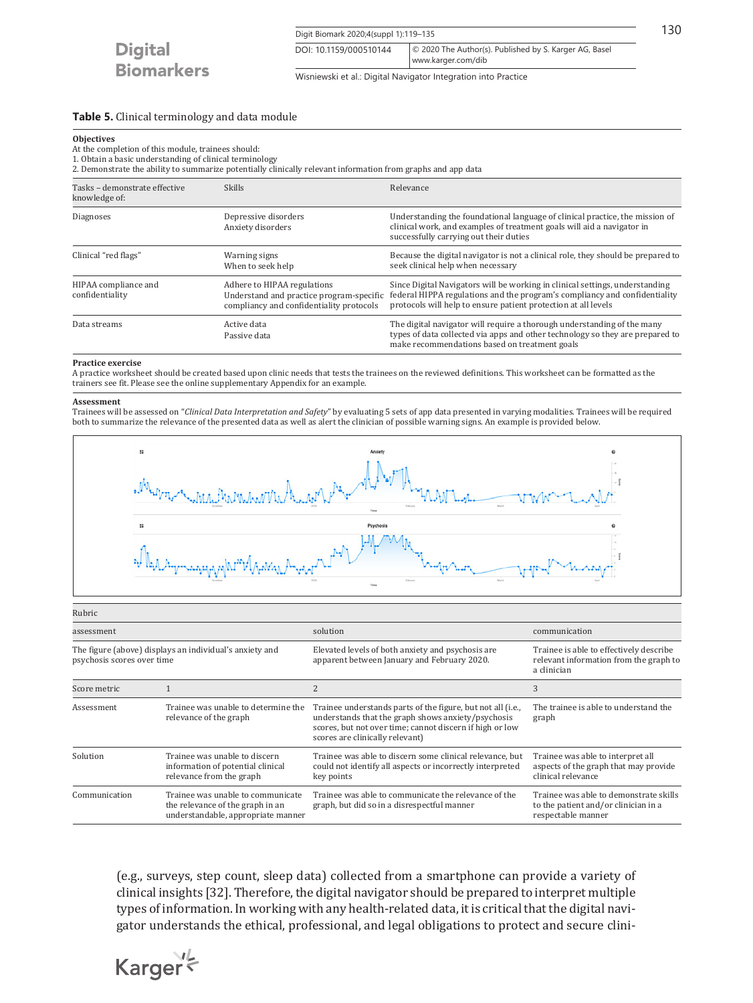Digit Biomark 2020;4(suppl 1):119–135 130 www.karger.com/dib DOI: 10.1159/000510144 © 2020 The Author(s). Published by S. Karger AG, Basel

Wisniewski et al.: Digital Navigator Integration into Practice

#### **Table 5.** Clinical terminology and data module

#### **Objectives**

At the completion of this module, trainees should:

1. Obtain a basic understanding of clinical terminology

2. Demonstrate the ability to summarize potentially clinically relevant information from graphs and app data

| Tasks - demonstrate effective<br>knowledge of: | <b>Skills</b>                                                                                                       | Relevance                                                                                                                                                                                                                    |
|------------------------------------------------|---------------------------------------------------------------------------------------------------------------------|------------------------------------------------------------------------------------------------------------------------------------------------------------------------------------------------------------------------------|
| <b>Diagnoses</b>                               | Depressive disorders<br>Anxiety disorders                                                                           | Understanding the foundational language of clinical practice, the mission of<br>clinical work, and examples of treatment goals will aid a navigator in<br>successfully carrying out their duties                             |
| Clinical "red flags"                           | Warning signs<br>When to seek help                                                                                  | Because the digital navigator is not a clinical role, they should be prepared to<br>seek clinical help when necessary                                                                                                        |
| HIPAA compliance and<br>confidentiality        | Adhere to HIPAA regulations<br>Understand and practice program-specific<br>compliancy and confidentiality protocols | Since Digital Navigators will be working in clinical settings, understanding<br>federal HIPPA regulations and the program's compliancy and confidentiality<br>protocols will help to ensure patient protection at all levels |
| Data streams                                   | Active data<br>Passive data                                                                                         | The digital navigator will require a thorough understanding of the many<br>types of data collected via apps and other technology so they are prepared to<br>make recommendations based on treatment goals                    |

#### **Practice exercise**

A practice worksheet should be created based upon clinic needs that tests the trainees on the reviewed definitions. This worksheet can be formatted as the trainers see fit. Please see the online supplementary Appendix for an example.

#### **Assessment**

Trainees will be assessed on "*Clinical Data Interpretation and Safety*" by evaluating 5 sets of app data presented in varying modalities. Trainees will be required both to summarize the relevance of the presented data as well as alert the clinician of possible warning signs. An example is provided below.



| Rubric                                                                                              |                                                                                                             |                                                                                                                                                                                                                  |                                                                                                                   |  |
|-----------------------------------------------------------------------------------------------------|-------------------------------------------------------------------------------------------------------------|------------------------------------------------------------------------------------------------------------------------------------------------------------------------------------------------------------------|-------------------------------------------------------------------------------------------------------------------|--|
| assessment<br>The figure (above) displays an individual's anxiety and<br>psychosis scores over time |                                                                                                             | solution                                                                                                                                                                                                         | communication<br>Trainee is able to effectively describe<br>relevant information from the graph to<br>a clinician |  |
|                                                                                                     |                                                                                                             | Elevated levels of both anxiety and psychosis are<br>apparent between January and February 2020.                                                                                                                 |                                                                                                                   |  |
| Score metric                                                                                        |                                                                                                             | $\overline{2}$                                                                                                                                                                                                   | 3                                                                                                                 |  |
| Assessment                                                                                          | Trainee was unable to determine the<br>relevance of the graph                                               | Trainee understands parts of the figure, but not all (i.e.,<br>understands that the graph shows anxiety/psychosis<br>scores, but not over time; cannot discern if high or low<br>scores are clinically relevant) | The trainee is able to understand the<br>graph                                                                    |  |
| Solution                                                                                            | Trainee was unable to discern<br>information of potential clinical<br>relevance from the graph              | Trainee was able to discern some clinical relevance, but<br>could not identify all aspects or incorrectly interpreted<br>key points                                                                              | Trainee was able to interpret all<br>aspects of the graph that may provide<br>clinical relevance                  |  |
| Communication                                                                                       | Trainee was unable to communicate<br>the relevance of the graph in an<br>understandable, appropriate manner | Trainee was able to communicate the relevance of the<br>graph, but did so in a disrespectful manner                                                                                                              | Trainee was able to demonstrate skills<br>to the patient and/or clinician in a<br>respectable manner              |  |
|                                                                                                     |                                                                                                             |                                                                                                                                                                                                                  |                                                                                                                   |  |

(e.g., surveys, step count, sleep data) collected from a smartphone can provide a variety of clinical insights [\[3](#page-15-2)[2\]](#page-15-1). Therefore, the digital navigator should be prepared to interpret multiple types of information. In working with any health-related data, it is critical that the digital navigator understands the ethical, professional, and legal obligations to protect and secure clini-

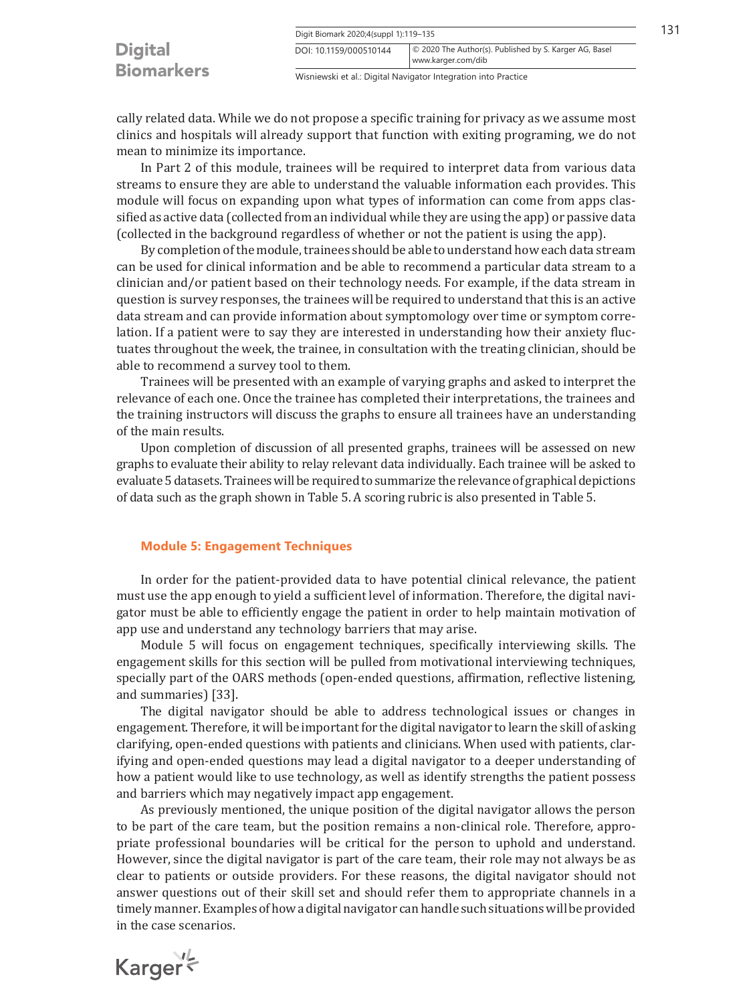|                                     | Digit Biomark 2020;4(suppl 1):119-135                          |                                                                              | 131 |
|-------------------------------------|----------------------------------------------------------------|------------------------------------------------------------------------------|-----|
| <b>Digital</b><br><b>Biomarkers</b> | DOI: 10.1159/000510144                                         | © 2020 The Author(s). Published by S. Karger AG, Basel<br>www.karger.com/dib |     |
|                                     | Wisniewski et al.: Digital Navigator Integration into Practice |                                                                              |     |

cally related data. While we do not propose a specific training for privacy as we assume most clinics and hospitals will already support that function with exiting programing, we do not mean to minimize its importance.

In Part 2 of this module, trainees will be required to interpret data from various data streams to ensure they are able to understand the valuable information each provides. This module will focus on expanding upon what types of information can come from apps classified as active data (collected from an individual while they are using the app) or passive data (collected in the background regardless of whether or not the patient is using the app).

By completion of the module, trainees should be able to understand how each data stream can be used for clinical information and be able to recommend a particular data stream to a clinician and/or patient based on their technology needs. For example, if the data stream in question is survey responses, the trainees will be required to understand that this is an active data stream and can provide information about symptomology over time or symptom correlation. If a patient were to say they are interested in understanding how their anxiety fluctuates throughout the week, the trainee, in consultation with the treating clinician, should be able to recommend a survey tool to them.

Trainees will be presented with an example of varying graphs and asked to interpret the relevance of each one. Once the trainee has completed their interpretations, the trainees and the training instructors will discuss the graphs to ensure all trainees have an understanding of the main results.

Upon completion of discussion of all presented graphs, trainees will be assessed on new graphs to evaluate their ability to relay relevant data individually. Each trainee will be asked to evaluate 5 datasets. Trainees will be required to summarize the relevance of graphical depictions of data such as the graph shown in Table 5. A scoring rubric is also presented in Table 5.

## **Module 5: Engagement Techniques**

In order for the patient-provided data to have potential clinical relevance, the patient must use the app enough to yield a sufficient level of information. Therefore, the digital navigator must be able to efficiently engage the patient in order to help maintain motivation of app use and understand any technology barriers that may arise.

Module 5 will focus on engagement techniques, specifically interviewing skills. The engagement skills for this section will be pulled from motivational interviewing techniques, specially part of the OARS methods (open-ended questions, affirmation, reflective listening, and summaries) [\[33\]](#page-15-2).

The digital navigator should be able to address technological issues or changes in engagement. Therefore, it will be important for the digital navigator to learn the skill of asking clarifying, open-ended questions with patients and clinicians. When used with patients, clarifying and open-ended questions may lead a digital navigator to a deeper understanding of how a patient would like to use technology, as well as identify strengths the patient possess and barriers which may negatively impact app engagement.

As previously mentioned, the unique position of the digital navigator allows the person to be part of the care team, but the position remains a non-clinical role. Therefore, appropriate professional boundaries will be critical for the person to uphold and understand. However, since the digital navigator is part of the care team, their role may not always be as clear to patients or outside providers. For these reasons, the digital navigator should not answer questions out of their skill set and should refer them to appropriate channels in a timely manner. Examples of how a digital navigator can handle such situations will be provided in the case scenarios.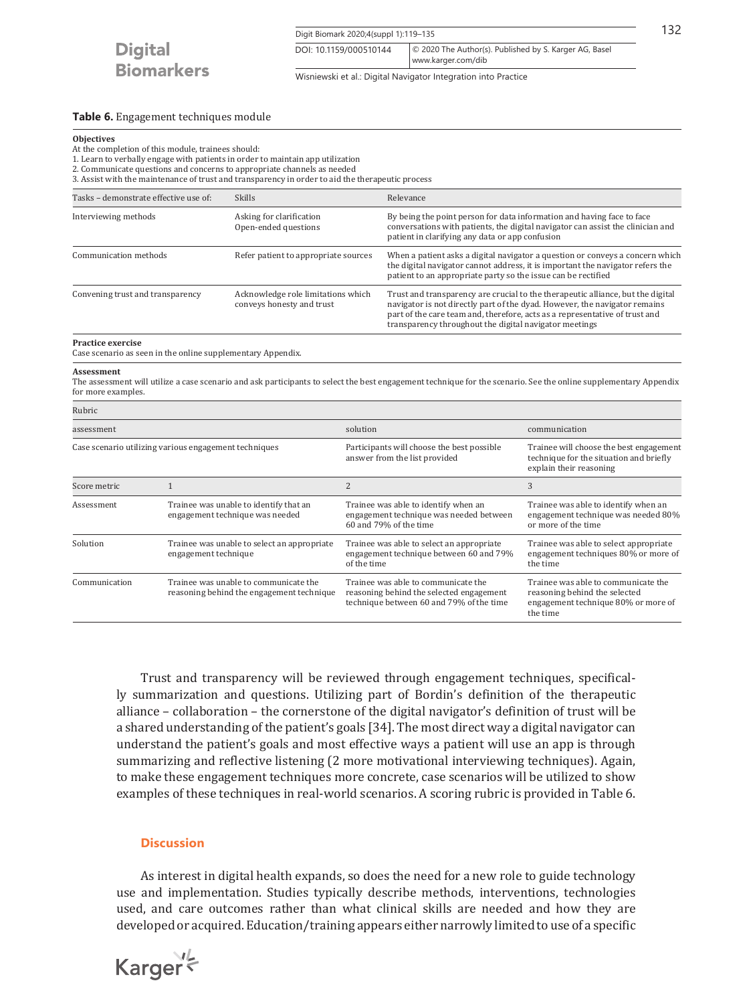Digit Biomark 2020;4(suppl 1):119-135 132 www.karger.com/dib DOI: 10.1159/000510144 © 2020 The Author(s). Published by S. Karger AG, Basel

Wisniewski et al.: Digital Navigator Integration into Practice

## **Table 6.** Engagement techniques module

#### **Objectives**

At the completion of this module, trainees should:

1. Learn to verbally engage with patients in order to maintain app utilization

2. Communicate questions and concerns to appropriate channels as needed

3. Assist with the maintenance of trust and transparency in order to aid the therapeutic process

| Tasks - demonstrate effective use of:                                            |              | <b>Skills</b>                                                             |                                                                             | Relevance                                                                                                                                                                                                                                                                                              |                                                                                                                                                                  |
|----------------------------------------------------------------------------------|--------------|---------------------------------------------------------------------------|-----------------------------------------------------------------------------|--------------------------------------------------------------------------------------------------------------------------------------------------------------------------------------------------------------------------------------------------------------------------------------------------------|------------------------------------------------------------------------------------------------------------------------------------------------------------------|
| Interviewing methods                                                             |              | Asking for clarification<br>Open-ended questions                          |                                                                             | By being the point person for data information and having face to face<br>conversations with patients, the digital navigator can assist the clinician and<br>patient in clarifying any data or app confusion                                                                                           |                                                                                                                                                                  |
| Communication methods                                                            |              | Refer patient to appropriate sources                                      |                                                                             | When a patient asks a digital navigator a question or conveys a concern which<br>the digital navigator cannot address, it is important the navigator refers the<br>patient to an appropriate party so the issue can be rectified                                                                       |                                                                                                                                                                  |
| Convening trust and transparency                                                 |              | Acknowledge role limitations which<br>conveys honesty and trust           |                                                                             | Trust and transparency are crucial to the therapeutic alliance, but the digital<br>navigator is not directly part of the dyad. However, the navigator remains<br>part of the care team and, therefore, acts as a representative of trust and<br>transparency throughout the digital navigator meetings |                                                                                                                                                                  |
| Practice exercise<br>Case scenario as seen in the online supplementary Appendix. |              |                                                                           |                                                                             |                                                                                                                                                                                                                                                                                                        |                                                                                                                                                                  |
| <b>Assessment</b><br>for more examples.                                          |              |                                                                           |                                                                             |                                                                                                                                                                                                                                                                                                        | The assessment will utilize a case scenario and ask participants to select the best engagement technique for the scenario. See the online supplementary Appendix |
| Rubric                                                                           |              |                                                                           |                                                                             |                                                                                                                                                                                                                                                                                                        |                                                                                                                                                                  |
| assessment                                                                       |              | solution                                                                  |                                                                             | communication                                                                                                                                                                                                                                                                                          |                                                                                                                                                                  |
| Case scenario utilizing various engagement techniques                            |              |                                                                           | Participants will choose the best possible<br>answer from the list provided | Trainee will choose the best engagement<br>technique for the situation and briefly<br>explain their reasoning                                                                                                                                                                                          |                                                                                                                                                                  |
| Score metric                                                                     | $\mathbf{1}$ |                                                                           | 2                                                                           |                                                                                                                                                                                                                                                                                                        | 3                                                                                                                                                                |
| Assessment                                                                       |              | Trainee was unable to identify that an<br>engagement technique was needed |                                                                             | Trainee was able to identify when an<br>engagement technique was needed between<br>60 and 79% of the time                                                                                                                                                                                              | Trainee was able to identify when an<br>engagement technique was needed 80%<br>or more of the time                                                               |

| Rubric                                                              |                                                                                    |                                                                                                                             |                                                                                                                         |  |
|---------------------------------------------------------------------|------------------------------------------------------------------------------------|-----------------------------------------------------------------------------------------------------------------------------|-------------------------------------------------------------------------------------------------------------------------|--|
| assessment<br>Case scenario utilizing various engagement techniques |                                                                                    | solution                                                                                                                    | communication                                                                                                           |  |
|                                                                     |                                                                                    | Participants will choose the best possible<br>answer from the list provided                                                 | Trainee will choose the best engagement<br>technique for the situation and briefly<br>explain their reasoning           |  |
| Score metric                                                        |                                                                                    | $\overline{2}$                                                                                                              | 3                                                                                                                       |  |
| Assessment                                                          | Trainee was unable to identify that an<br>engagement technique was needed          | Trainee was able to identify when an<br>engagement technique was needed between<br>60 and 79% of the time                   | Trainee was able to identify when an<br>engagement technique was needed 80%<br>or more of the time                      |  |
| Solution                                                            | Trainee was unable to select an appropriate<br>engagement technique                | Trainee was able to select an appropriate<br>engagement technique between 60 and 79%<br>of the time                         | Trainee was able to select appropriate<br>engagement techniques 80% or more of<br>the time                              |  |
| Communication                                                       | Trainee was unable to communicate the<br>reasoning behind the engagement technique | Trainee was able to communicate the<br>reasoning behind the selected engagement<br>technique between 60 and 79% of the time | Trainee was able to communicate the<br>reasoning behind the selected<br>engagement technique 80% or more of<br>the time |  |

Trust and transparency will be reviewed through engagement techniques, specifically summarization and questions. Utilizing part of Bordin's definition of the therapeutic alliance – collaboration – the cornerstone of the digital navigator's definition of trust will be a shared understanding of the patient's goals [\[3](#page-15-2)[4\]](#page-15-3). The most direct way a digital navigator can understand the patient's goals and most effective ways a patient will use an app is through summarizing and reflective listening (2 more motivational interviewing techniques). Again, to make these engagement techniques more concrete, case scenarios will be utilized to show examples of these techniques in real-world scenarios. A scoring rubric is provided in Table 6.

## **Discussion**

As interest in digital health expands, so does the need for a new role to guide technology use and implementation. Studies typically describe methods, interventions, technologies used, and care outcomes rather than what clinical skills are needed and how they are developed or acquired. Education/training appears either narrowly limited to use of a specific

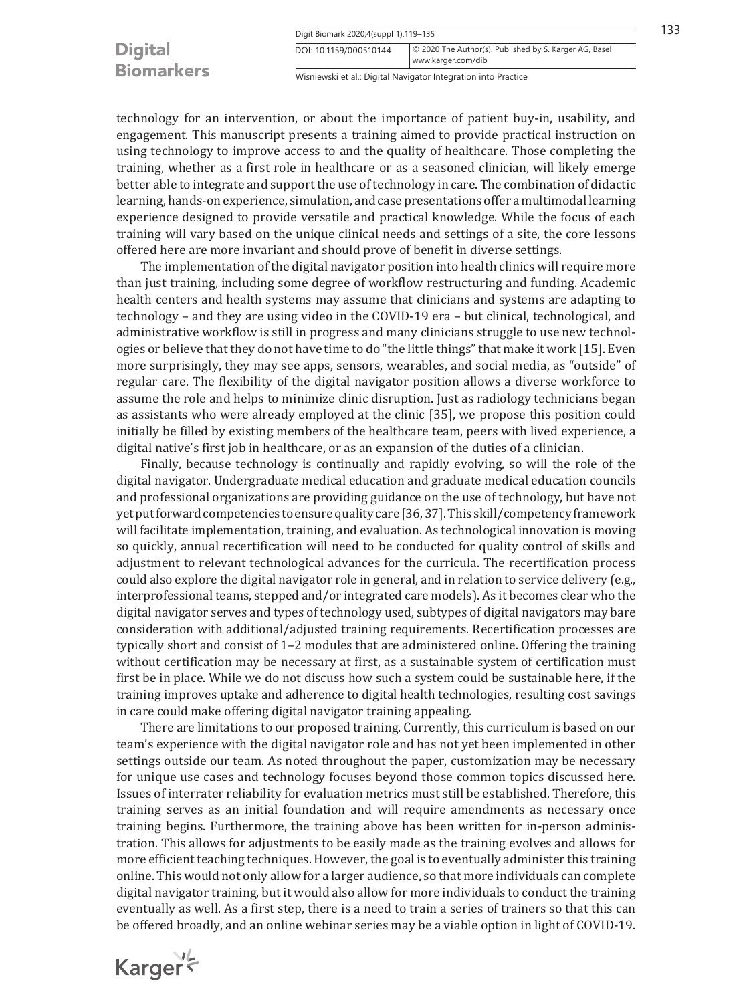## **Digital Biomarkers**

Wisniewski et al.: Digital Navigator Integration into Practice

www.karger.com/dib DOI: 10.1159/000510144 © 2020 The Author(s). Published by S. Karger AG, Basel

technology for an intervention, or about the importance of patient buy-in, usability, and engagement. This manuscript presents a training aimed to provide practical instruction on using technology to improve access to and the quality of healthcare. Those completing the training, whether as a first role in healthcare or as a seasoned clinician, will likely emerge better able to integrate and support the use of technology in care. The combination of didactic learning, hands-on experience, simulation, and case presentations offer a multimodal learning experience designed to provide versatile and practical knowledge. While the focus of each training will vary based on the unique clinical needs and settings of a site, the core lessons offered here are more invariant and should prove of benefit in diverse settings.

The implementation of the digital navigator position into health clinics will require more than just training, including some degree of workflow restructuring and funding. Academic health centers and health systems may assume that clinicians and systems are adapting to technology – and they are using video in the COVID-19 era – but clinical, technological, and administrative workflow is still in progress and many clinicians struggle to use new technologies or believe that they do not have time to do "the little things" that make it work [[1](#page-15-0)[5](#page-15-4)]. Even more surprisingly, they may see apps, sensors, wearables, and social media, as "outside" of regular care. The flexibility of the digital navigator position allows a diverse workforce to assume the role and helps to minimize clinic disruption. Just as radiology technicians began as assistants who were already employed at the clinic [[3](#page-15-2)[5\]](#page-15-4), we propose this position could initially be filled by existing members of the healthcare team, peers with lived experience, a digital native's first job in healthcare, or as an expansion of the duties of a clinician.

Finally, because technology is continually and rapidly evolving, so will the role of the digital navigator. Undergraduate medical education and graduate medical education councils and professional organizations are providing guidance on the use of technology, but have not yet put forward competencies to ensure quality care [\[3](#page-15-2)[6,](#page-15-5) [3](#page-15-2)[7\]](#page-15-6). This skill/competency framework will facilitate implementation, training, and evaluation. As technological innovation is moving so quickly, annual recertification will need to be conducted for quality control of skills and adjustment to relevant technological advances for the curricula. The recertification process could also explore the digital navigator role in general, and in relation to service delivery (e.g., interprofessional teams, stepped and/or integrated care models). As it becomes clear who the digital navigator serves and types of technology used, subtypes of digital navigators may bare consideration with additional/adjusted training requirements. Recertification processes are typically short and consist of 1–2 modules that are administered online. Offering the training without certification may be necessary at first, as a sustainable system of certification must first be in place. While we do not discuss how such a system could be sustainable here, if the training improves uptake and adherence to digital health technologies, resulting cost savings in care could make offering digital navigator training appealing.

There are limitations to our proposed training. Currently, this curriculum is based on our team's experience with the digital navigator role and has not yet been implemented in other settings outside our team. As noted throughout the paper, customization may be necessary for unique use cases and technology focuses beyond those common topics discussed here. Issues of interrater reliability for evaluation metrics must still be established. Therefore, this training serves as an initial foundation and will require amendments as necessary once training begins. Furthermore, the training above has been written for in-person administration. This allows for adjustments to be easily made as the training evolves and allows for more efficient teaching techniques. However, the goal is to eventually administer this training online. This would not only allow for a larger audience, so that more individuals can complete digital navigator training, but it would also allow for more individuals to conduct the training eventually as well. As a first step, there is a need to train a series of trainers so that this can be offered broadly, and an online webinar series may be a viable option in light of COVID-19.

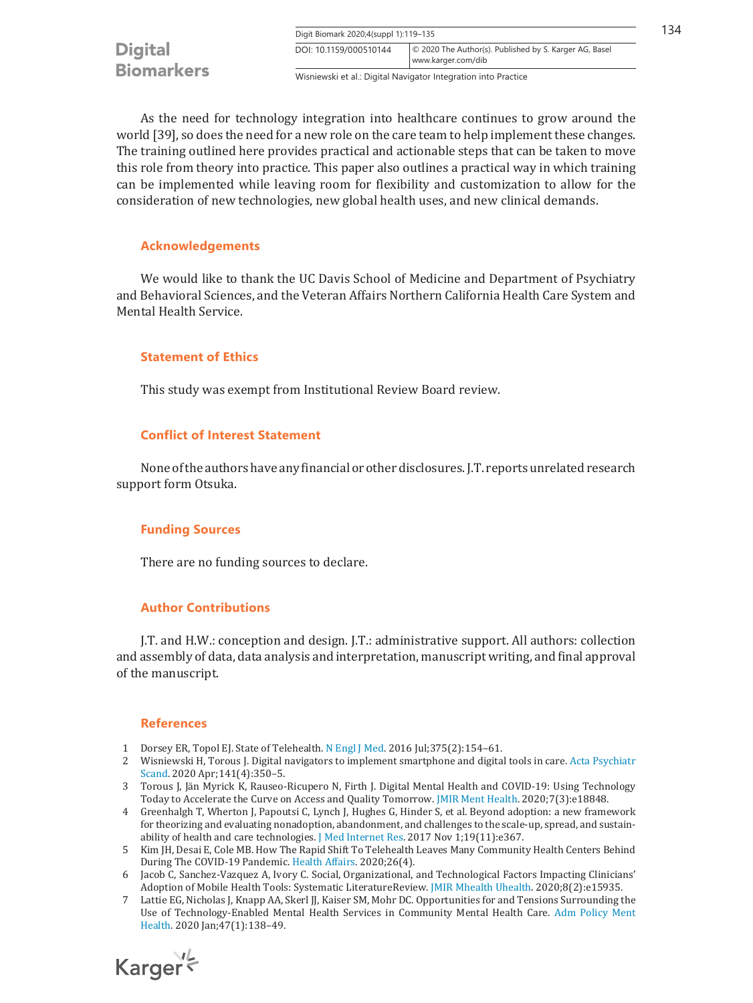Digit Biomark 2020;4(suppl 1):119-135 134 DOI: 10.1159/000510144 © 2020 The Author(s). Published by S. Karger AG, Basel www.karger.com/dib **Biomarkers** 

Wisniewski et al.: Digital Navigator Integration into Practice

As the need for technology integration into healthcare continues to grow around the world [\[3](#page-15-2)[9\]](#page-16-1), so does the need for a new role on the care team to help implement these changes. The training outlined here provides practical and actionable steps that can be taken to move this role from theory into practice. This paper also outlines a practical way in which training can be implemented while leaving room for flexibility and customization to allow for the consideration of new technologies, new global health uses, and new clinical demands.

## **Acknowledgements**

**Digital** 

We would like to thank the UC Davis School of Medicine and Department of Psychiatry and Behavioral Sciences, and the Veteran Affairs Northern California Health Care System and Mental Health Service.

## **Statement of Ethics**

This study was exempt from Institutional Review Board review.

## **Conflict of Interest Statement**

None of the authors have any financial or other disclosures. J.T. reports unrelated research support form Otsuka.

## **Funding Sources**

There are no funding sources to declare.

## **Author Contributions**

J.T. and H.W.: conception and design. J.T.: administrative support. All authors: collection and assembly of data, data analysis and interpretation, manuscript writing, and final approval of the manuscript.

## **References**

- <span id="page-15-0"></span>[1](#page-0-0)  Dorsey ER, Topol EJ. State of Telehealth. [N Engl J Med.](https://www.karger.com/Article/FullText/510144?ref=1#ref1) 2016 Jul;375(2):154–61.
- <span id="page-15-1"></span>[2](#page-1-0)  Wisniewski H, Torous J. Digital navigators to implement smartphone and digital tools in care. [Acta Psychiatr](https://www.karger.com/Article/FullText/510144?ref=2#ref2) [Scand.](https://www.karger.com/Article/FullText/510144?ref=2#ref2) 2020 Apr;141(4):350–5.
- <span id="page-15-2"></span>[3](#page-1-1)  Torous J, Jän Myrick K, Rauseo-Ricupero N, Firth J. Digital Mental Health and COVID-19: Using Technology Today to Accelerate the Curve on Access and Quality Tomorrow. [JMIR Ment Health.](https://www.karger.com/Article/FullText/510144?ref=3#ref3) 2020;7(3):e18848.
- <span id="page-15-3"></span>[4](#page-1-2)  Greenhalgh T, Wherton J, Papoutsi C, Lynch J, Hughes G, Hinder S, et al. Beyond adoption: a new framework for theorizing and evaluating nonadoption, abandonment, and challenges to the scale-up, spread, and sustainability of health and care technologies. [J Med Internet Res](https://www.karger.com/Article/FullText/510144?ref=4#ref4). 2017 Nov 1;19(11):e367.
- <span id="page-15-4"></span>[5](#page-1-3)  Kim JH, Desai E, Cole MB. How The Rapid Shift To Telehealth Leaves Many Community Health Centers Behind During The COVID-19 Pandemic. [Health Affairs](https://www.karger.com/Article/FullText/510144?ref=5#ref5). 2020;26(4).
- <span id="page-15-5"></span>[6](#page-1-4)  Jacob C, Sanchez-Vazquez A, Ivory C. Social, Organizational, and Technological Factors Impacting Clinicians' Adoption of Mobile Health Tools: Systematic LiteratureReview. [JMIR Mhealth Uhealth.](https://www.karger.com/Article/FullText/510144?ref=6#ref6) 2020;8(2):e15935.
- <span id="page-15-6"></span>[7](#page-1-4)  Lattie EG, Nicholas J, Knapp AA, Skerl JJ, Kaiser SM, Mohr DC. Opportunities for and Tensions Surrounding the Use of Technology-Enabled Mental Health Services in Community Mental Health Care. [Adm Policy Ment](https://www.karger.com/Article/FullText/510144?ref=7#ref7) [Health](https://www.karger.com/Article/FullText/510144?ref=7#ref7). 2020 Jan;47(1):138–49.